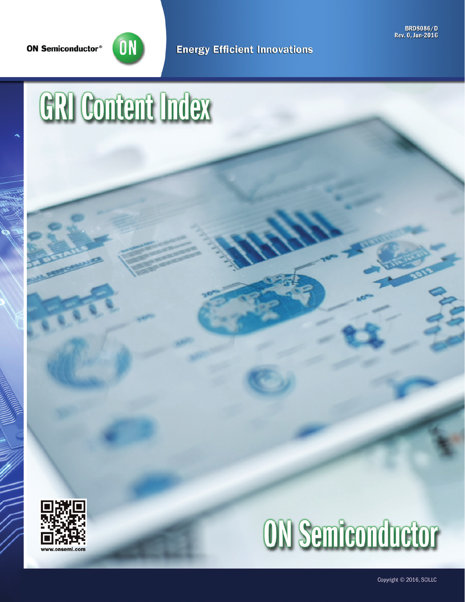

**Energy Efficient Innovations** 

BRD8086/D<br>Rev. 0, Jun-2016

# GRI Content Index





Copyright © 2016, SCILLC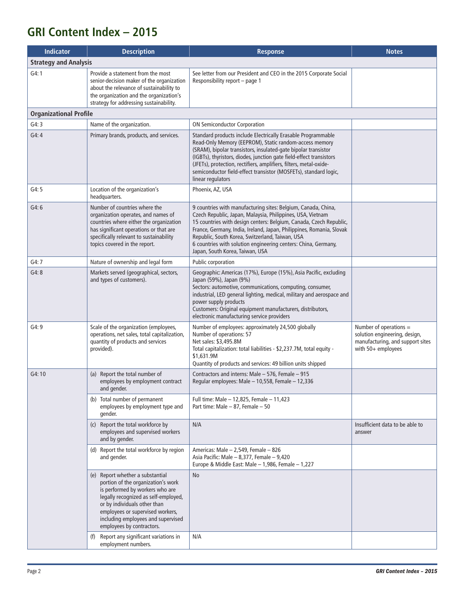# **GRI Content Index – 2015**

| <b>Indicator</b>              | <b>Description</b>                                                                                                                                                                                                                                                                       | <b>Response</b>                                                                                                                                                                                                                                                                                                                                                                                                                   | <b>Notes</b>                                                                                                        |
|-------------------------------|------------------------------------------------------------------------------------------------------------------------------------------------------------------------------------------------------------------------------------------------------------------------------------------|-----------------------------------------------------------------------------------------------------------------------------------------------------------------------------------------------------------------------------------------------------------------------------------------------------------------------------------------------------------------------------------------------------------------------------------|---------------------------------------------------------------------------------------------------------------------|
| <b>Strategy and Analysis</b>  |                                                                                                                                                                                                                                                                                          |                                                                                                                                                                                                                                                                                                                                                                                                                                   |                                                                                                                     |
| G4:1                          | Provide a statement from the most<br>senior-decision maker of the organization<br>about the relevance of sustainability to<br>the organization and the organization's<br>strategy for addressing sustainability.                                                                         | See letter from our President and CEO in the 2015 Corporate Social<br>Responsibility report - page 1                                                                                                                                                                                                                                                                                                                              |                                                                                                                     |
| <b>Organizational Profile</b> |                                                                                                                                                                                                                                                                                          |                                                                                                                                                                                                                                                                                                                                                                                                                                   |                                                                                                                     |
| G4:3                          | Name of the organization.                                                                                                                                                                                                                                                                | <b>ON Semiconductor Corporation</b>                                                                                                                                                                                                                                                                                                                                                                                               |                                                                                                                     |
| G4:4                          | Primary brands, products, and services.                                                                                                                                                                                                                                                  | Standard products include Electrically Erasable Programmable<br>Read-Only Memory (EEPROM), Static random-access memory<br>(SRAM), bipolar transistors, insulated-gate bipolar transistor<br>(IGBTs), thyristors, diodes, junction gate field-effect transistors<br>(JFETs), protection, rectifiers, amplifiers, filters, metal-oxide-<br>semiconductor field-effect transistor (MOSFETs), standard logic,<br>linear regulators    |                                                                                                                     |
| G4:5                          | Location of the organization's<br>headquarters.                                                                                                                                                                                                                                          | Phoenix, AZ, USA                                                                                                                                                                                                                                                                                                                                                                                                                  |                                                                                                                     |
| G4:6                          | Number of countries where the<br>organization operates, and names of<br>countries where either the organization<br>has significant operations or that are<br>specifically relevant to sustainability<br>topics covered in the report.                                                    | 9 countries with manufacturing sites: Belgium, Canada, China,<br>Czech Republic, Japan, Malaysia, Philippines, USA, Vietnam<br>15 countries with design centers: Belgium, Canada, Czech Republic,<br>France, Germany, India, Ireland, Japan, Philippines, Romania, Slovak<br>Republic, South Korea, Switzerland, Taiwan, USA<br>6 countries with solution engineering centers: China, Germany,<br>Japan, South Korea, Taiwan, USA |                                                                                                                     |
| G4:7                          | Nature of ownership and legal form                                                                                                                                                                                                                                                       | Public corporation                                                                                                                                                                                                                                                                                                                                                                                                                |                                                                                                                     |
| G4:8                          | Markets served (geographical, sectors,<br>and types of customers).                                                                                                                                                                                                                       | Geographic: Americas (17%), Europe (15%), Asia Pacific, excluding<br>Japan (59%), Japan (9%)<br>Sectors: automotive, communications, computing, consumer,<br>industrial, LED general lighting, medical, military and aerospace and<br>power supply products<br>Customers: Original equipment manufacturers, distributors,<br>electronic manufacturing service providers                                                           |                                                                                                                     |
| G4:9                          | Scale of the organization (employees,<br>operations, net sales, total capitalization,<br>quantity of products and services<br>provided).                                                                                                                                                 | Number of employees: approximately 24,500 globally<br>Number of operations: 57<br>Net sales: \$3,495.8M<br>Total capitalization: total liabilities - \$2,237.7M, total equity -<br>\$1,631.9M<br>Quantity of products and services: 49 billion units shipped                                                                                                                                                                      | Number of operations $=$<br>solution engineering, design,<br>manufacturing, and support sites<br>with 50+ employees |
| G4:10                         | (a) Report the total number of<br>employees by employment contract<br>and gender.                                                                                                                                                                                                        | Contractors and interns: Male - 576, Female - 915<br>Regular employees: Male - 10,558, Female - 12,336                                                                                                                                                                                                                                                                                                                            |                                                                                                                     |
|                               | (b) Total number of permanent<br>employees by employment type and<br>gender.                                                                                                                                                                                                             | Full time: Male - 12,825, Female - 11,423<br>Part time: Male - 87, Female - 50                                                                                                                                                                                                                                                                                                                                                    |                                                                                                                     |
|                               | (c) Report the total workforce by<br>employees and supervised workers<br>and by gender.                                                                                                                                                                                                  | N/A                                                                                                                                                                                                                                                                                                                                                                                                                               | Insufficient data to be able to<br>answer                                                                           |
|                               | (d) Report the total workforce by region<br>and gender.                                                                                                                                                                                                                                  | Americas: Male - 2,549, Female - 826<br>Asia Pacific: Male - 8,377, Female - 9,420<br>Europe & Middle East: Male - 1,986, Female - 1,227                                                                                                                                                                                                                                                                                          |                                                                                                                     |
|                               | (e) Report whether a substantial<br>portion of the organization's work<br>is performed by workers who are<br>legally recognized as self-employed,<br>or by individuals other than<br>employees or supervised workers,<br>including employees and supervised<br>employees by contractors. | <b>No</b>                                                                                                                                                                                                                                                                                                                                                                                                                         |                                                                                                                     |
|                               | (f) Report any significant variations in<br>employment numbers.                                                                                                                                                                                                                          | N/A                                                                                                                                                                                                                                                                                                                                                                                                                               |                                                                                                                     |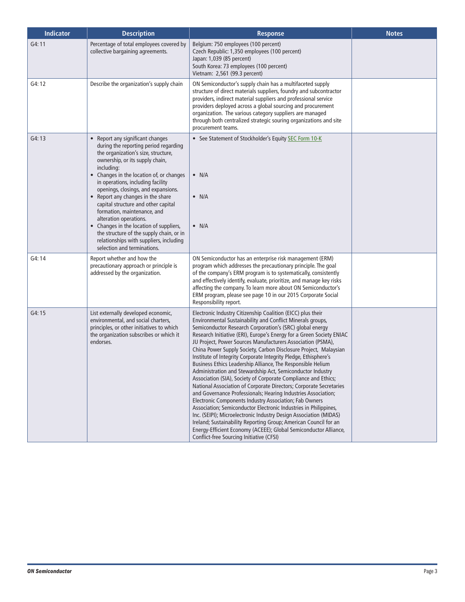| <b>Indicator</b> | <b>Description</b>                                                                                                                                                                                                                                                                                                                                                                                                                                                                                                                                                                              | <b>Response</b>                                                                                                                                                                                                                                                                                                                                                                                                                                                                                                                                                                                                                                                                                                                                                                                                                                                                                                                                                                                                                                                                                                                                                                                  | <b>Notes</b> |
|------------------|-------------------------------------------------------------------------------------------------------------------------------------------------------------------------------------------------------------------------------------------------------------------------------------------------------------------------------------------------------------------------------------------------------------------------------------------------------------------------------------------------------------------------------------------------------------------------------------------------|--------------------------------------------------------------------------------------------------------------------------------------------------------------------------------------------------------------------------------------------------------------------------------------------------------------------------------------------------------------------------------------------------------------------------------------------------------------------------------------------------------------------------------------------------------------------------------------------------------------------------------------------------------------------------------------------------------------------------------------------------------------------------------------------------------------------------------------------------------------------------------------------------------------------------------------------------------------------------------------------------------------------------------------------------------------------------------------------------------------------------------------------------------------------------------------------------|--------------|
| G4:11            | Percentage of total employees covered by<br>collective bargaining agreements.                                                                                                                                                                                                                                                                                                                                                                                                                                                                                                                   | Belgium: 750 employees (100 percent)<br>Czech Republic: 1,350 employees (100 percent)<br>Japan: 1,039 (85 percent)<br>South Korea: 73 employees (100 percent)<br>Vietnam: 2,561 (99.3 percent)                                                                                                                                                                                                                                                                                                                                                                                                                                                                                                                                                                                                                                                                                                                                                                                                                                                                                                                                                                                                   |              |
| G4:12            | Describe the organization's supply chain                                                                                                                                                                                                                                                                                                                                                                                                                                                                                                                                                        | ON Semiconductor's supply chain has a multifaceted supply<br>structure of direct materials suppliers, foundry and subcontractor<br>providers, indirect material suppliers and professional service<br>providers deployed across a global sourcing and procurement<br>organization. The various category suppliers are managed<br>through both centralized strategic souring organizations and site<br>procurement teams.                                                                                                                                                                                                                                                                                                                                                                                                                                                                                                                                                                                                                                                                                                                                                                         |              |
| G4:13            | • Report any significant changes<br>during the reporting period regarding<br>the organization's size, structure,<br>ownership, or its supply chain,<br>including:<br>• Changes in the location of, or changes<br>in operations, including facility<br>openings, closings, and expansions.<br>• Report any changes in the share<br>capital structure and other capital<br>formation, maintenance, and<br>alteration operations.<br>• Changes in the location of suppliers,<br>the structure of the supply chain, or in<br>relationships with suppliers, including<br>selection and terminations. | • See Statement of Stockholder's Equity SEC Form 10-K<br>$\bullet$ N/A<br>$\bullet$ N/A<br>$\bullet$ N/A                                                                                                                                                                                                                                                                                                                                                                                                                                                                                                                                                                                                                                                                                                                                                                                                                                                                                                                                                                                                                                                                                         |              |
| G4:14            | Report whether and how the<br>precautionary approach or principle is<br>addressed by the organization.                                                                                                                                                                                                                                                                                                                                                                                                                                                                                          | ON Semiconductor has an enterprise risk management (ERM)<br>program which addresses the precautionary principle. The goal<br>of the company's ERM program is to systematically, consistently<br>and effectively identify, evaluate, prioritize, and manage key risks<br>affecting the company. To learn more about ON Semiconductor's<br>ERM program, please see page 10 in our 2015 Corporate Social<br>Responsibility report.                                                                                                                                                                                                                                                                                                                                                                                                                                                                                                                                                                                                                                                                                                                                                                  |              |
| G4:15            | List externally developed economic,<br>environmental, and social charters,<br>principles, or other initiatives to which<br>the organization subscribes or which it<br>endorses.                                                                                                                                                                                                                                                                                                                                                                                                                 | Electronic Industry Citizenship Coalition (EICC) plus their<br>Environmental Sustainability and Conflict Minerals groups,<br>Semiconductor Research Corporation's (SRC) global energy<br>Research Initiative (ERI), Europe's Energy for a Green Society ENIAC<br>JU Project, Power Sources Manufacturers Association (PSMA),<br>China Power Supply Society, Carbon Disclosure Project, Malaysian<br>Institute of Integrity Corporate Integrity Pledge, Ethisphere's<br>Business Ethics Leadership Alliance, The Responsible Helium<br>Administration and Stewardship Act, Semiconductor Industry<br>Association (SIA), Society of Corporate Compliance and Ethics;<br>National Association of Corporate Directors; Corporate Secretaries<br>and Governance Professionals; Hearing Industries Association;<br>Electronic Components Industry Association; Fab Owners<br>Association; Semiconductor Electronic Industries in Philippines,<br>Inc. (SEIPI); Microelectronic Industry Design Association (MIDAS)<br>Ireland; Sustainability Reporting Group; American Council for an<br>Energy-Efficient Economy (ACEEE); Global Semiconductor Alliance,<br>Conflict-free Sourcing Initiative (CFSI) |              |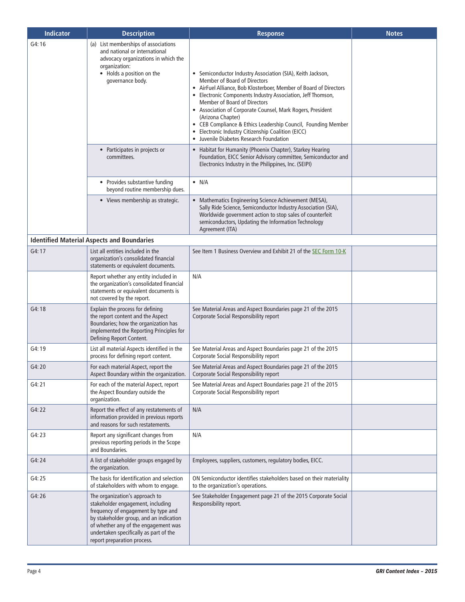| <b>Indicator</b> | <b>Description</b>                                                                                                                                                                                                                                                     | <b>Response</b>                                                                                                                                                                                                                                                                                                                                                                                                                                                                                                     | <b>Notes</b> |
|------------------|------------------------------------------------------------------------------------------------------------------------------------------------------------------------------------------------------------------------------------------------------------------------|---------------------------------------------------------------------------------------------------------------------------------------------------------------------------------------------------------------------------------------------------------------------------------------------------------------------------------------------------------------------------------------------------------------------------------------------------------------------------------------------------------------------|--------------|
| G4:16            | (a) List memberships of associations<br>and national or international<br>advocacy organizations in which the<br>organization:<br>• Holds a position on the<br>governance body.                                                                                         | • Semiconductor Industry Association (SIA), Keith Jackson,<br>Member of Board of Directors<br>• AirFuel Alliance, Bob Klosterboer, Member of Board of Directors<br>• Electronic Components Industry Association, Jeff Thomson,<br>Member of Board of Directors<br>• Association of Corporate Counsel, Mark Rogers, President<br>(Arizona Chapter)<br>• CEB Compliance & Ethics Leadership Council, Founding Member<br>• Electronic Industry Citizenship Coalition (EICC)<br>• Juvenile Diabetes Research Foundation |              |
|                  | • Participates in projects or<br>committees.                                                                                                                                                                                                                           | • Habitat for Humanity (Phoenix Chapter), Starkey Hearing<br>Foundation, EICC Senior Advisory committee, Semiconductor and<br>Electronics Industry in the Philippines, Inc. (SEIPI)                                                                                                                                                                                                                                                                                                                                 |              |
|                  | • Provides substantive funding<br>beyond routine membership dues.                                                                                                                                                                                                      | $\bullet$ N/A                                                                                                                                                                                                                                                                                                                                                                                                                                                                                                       |              |
|                  | • Views membership as strategic.                                                                                                                                                                                                                                       | • Mathematics Engineering Science Achievement (MESA),<br>Sally Ride Science, Semiconductor Industry Association (SIA),<br>Worldwide government action to stop sales of counterfeit<br>semiconductors, Updating the Information Technology<br>Agreement (ITA)                                                                                                                                                                                                                                                        |              |
|                  | <b>Identified Material Aspects and Boundaries</b>                                                                                                                                                                                                                      |                                                                                                                                                                                                                                                                                                                                                                                                                                                                                                                     |              |
| G4:17            | List all entities included in the<br>organization's consolidated financial<br>statements or equivalent documents.                                                                                                                                                      | See Item 1 Business Overview and Exhibit 21 of the SEC Form 10-K                                                                                                                                                                                                                                                                                                                                                                                                                                                    |              |
|                  | Report whether any entity included in<br>the organization's consolidated financial<br>statements or equivalent documents is<br>not covered by the report.                                                                                                              | N/A                                                                                                                                                                                                                                                                                                                                                                                                                                                                                                                 |              |
| G4:18            | Explain the process for defining<br>the report content and the Aspect<br>Boundaries; how the organization has<br>implemented the Reporting Principles for<br>Defining Report Content.                                                                                  | See Material Areas and Aspect Boundaries page 21 of the 2015<br>Corporate Social Responsibility report                                                                                                                                                                                                                                                                                                                                                                                                              |              |
| G4:19            | List all material Aspects identified in the<br>process for defining report content.                                                                                                                                                                                    | See Material Areas and Aspect Boundaries page 21 of the 2015<br>Corporate Social Responsibility report                                                                                                                                                                                                                                                                                                                                                                                                              |              |
| G4:20            | For each material Aspect, report the<br>Aspect Boundary within the organization.                                                                                                                                                                                       | See Material Areas and Aspect Boundaries page 21 of the 2015<br>Corporate Social Responsibility report                                                                                                                                                                                                                                                                                                                                                                                                              |              |
| G4: 21           | For each of the material Aspect, report<br>the Aspect Boundary outside the<br>organization.                                                                                                                                                                            | See Material Areas and Aspect Boundaries page 21 of the 2015<br>Corporate Social Responsibility report                                                                                                                                                                                                                                                                                                                                                                                                              |              |
| G4: 22           | Report the effect of any restatements of<br>information provided in previous reports<br>and reasons for such restatements.                                                                                                                                             | N/A                                                                                                                                                                                                                                                                                                                                                                                                                                                                                                                 |              |
| G4: 23           | Report any significant changes from<br>previous reporting periods in the Scope<br>and Boundaries.                                                                                                                                                                      | N/A                                                                                                                                                                                                                                                                                                                                                                                                                                                                                                                 |              |
| G4:24            | A list of stakeholder groups engaged by<br>the organization.                                                                                                                                                                                                           | Employees, suppliers, customers, regulatory bodies, EICC.                                                                                                                                                                                                                                                                                                                                                                                                                                                           |              |
| G4: 25           | The basis for identification and selection<br>of stakeholders with whom to engage.                                                                                                                                                                                     | ON Semiconductor identifies stakeholders based on their materiality<br>to the organization's operations.                                                                                                                                                                                                                                                                                                                                                                                                            |              |
| G4:26            | The organization's approach to<br>stakeholder engagement, including<br>frequency of engagement by type and<br>by stakeholder group, and an indication<br>of whether any of the engagement was<br>undertaken specifically as part of the<br>report preparation process. | See Stakeholder Engagement page 21 of the 2015 Corporate Social<br>Responsibility report.                                                                                                                                                                                                                                                                                                                                                                                                                           |              |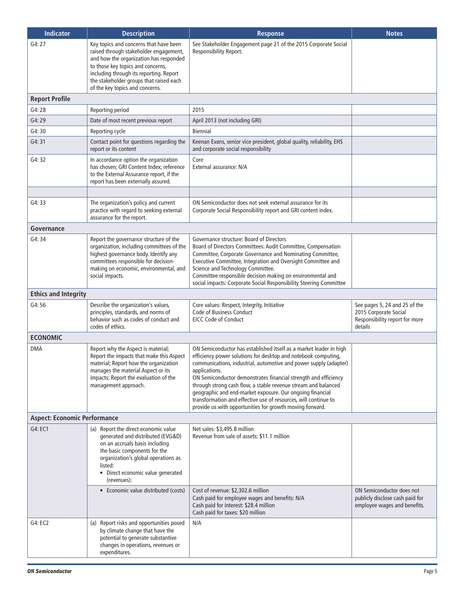| <b>Indicator</b>                    | <b>Description</b>                                                                                                                                                                                                                                                                       | <b>Response</b>                                                                                                                                                                                                                                                                                                                                                                                                                                                                                                                                             | <b>Notes</b>                                                                                        |
|-------------------------------------|------------------------------------------------------------------------------------------------------------------------------------------------------------------------------------------------------------------------------------------------------------------------------------------|-------------------------------------------------------------------------------------------------------------------------------------------------------------------------------------------------------------------------------------------------------------------------------------------------------------------------------------------------------------------------------------------------------------------------------------------------------------------------------------------------------------------------------------------------------------|-----------------------------------------------------------------------------------------------------|
| G4: 27                              | Key topics and concerns that have been<br>raised through stakeholder engagement,<br>and how the organization has responded<br>to those key topics and concerns,<br>including through its reporting. Report<br>the stakeholder groups that raised each<br>of the key topics and concerns. | See Stakeholder Engagement page 21 of the 2015 Corporate Social<br>Responsibility Report.                                                                                                                                                                                                                                                                                                                                                                                                                                                                   |                                                                                                     |
| <b>Report Profile</b>               |                                                                                                                                                                                                                                                                                          |                                                                                                                                                                                                                                                                                                                                                                                                                                                                                                                                                             |                                                                                                     |
| G4:28                               | Reporting period                                                                                                                                                                                                                                                                         | 2015                                                                                                                                                                                                                                                                                                                                                                                                                                                                                                                                                        |                                                                                                     |
| G4:29                               | Date of most recent previous report                                                                                                                                                                                                                                                      | April 2013 (not including GRI)                                                                                                                                                                                                                                                                                                                                                                                                                                                                                                                              |                                                                                                     |
| G4: 30                              | Reporting cycle                                                                                                                                                                                                                                                                          | <b>Biennial</b>                                                                                                                                                                                                                                                                                                                                                                                                                                                                                                                                             |                                                                                                     |
| G4:31                               | Contact point for questions regarding the<br>report or its content                                                                                                                                                                                                                       | Keenan Evans, senior vice president, global quality, reliability, EHS<br>and corporate social responsibility                                                                                                                                                                                                                                                                                                                                                                                                                                                |                                                                                                     |
| G4: 32                              | In accordance option the organization<br>has chosen; GRI Content Index; reference<br>to the External Assurance report, if the<br>report has been externally assured.                                                                                                                     | Core<br>External assurance: N/A                                                                                                                                                                                                                                                                                                                                                                                                                                                                                                                             |                                                                                                     |
|                                     |                                                                                                                                                                                                                                                                                          |                                                                                                                                                                                                                                                                                                                                                                                                                                                                                                                                                             |                                                                                                     |
| G4: 33                              | The organization's policy and current<br>practice with regard to seeking external<br>assurance for the report.                                                                                                                                                                           | ON Semiconductor does not seek external assurance for its<br>Corporate Social Responsibility report and GRI content index.                                                                                                                                                                                                                                                                                                                                                                                                                                  |                                                                                                     |
| Governance                          |                                                                                                                                                                                                                                                                                          |                                                                                                                                                                                                                                                                                                                                                                                                                                                                                                                                                             |                                                                                                     |
| G4: 34                              | Report the governance structure of the<br>organization, including committees of the<br>highest governance body. Identify any<br>committees responsible for decision-<br>making on economic, environmental, and<br>social impacts.                                                        | Governance structure: Board of Directors<br>Board of Directors Committees: Audit Committee, Compensation<br>Committee, Corporate Governance and Nominating Committee,<br>Executive Committee, Integration and Oversight Committee and<br>Science and Technology Committee.<br>Committee responsible decision making on environmental and<br>social impacts: Corporate Social Responsibility Steering Committee                                                                                                                                              |                                                                                                     |
| <b>Ethics and Integrity</b>         |                                                                                                                                                                                                                                                                                          |                                                                                                                                                                                                                                                                                                                                                                                                                                                                                                                                                             |                                                                                                     |
| G4:56                               | Describe the organization's values,<br>principles, standards, and norms of<br>behavior such as codes of conduct and<br>codes of ethics.                                                                                                                                                  | Core values: Respect, Integrity, Initiative<br>Code of Business Conduct<br><b>EICC Code of Conduct</b>                                                                                                                                                                                                                                                                                                                                                                                                                                                      | See pages 5, 24 and 25 of the<br>2015 Corporate Social<br>Responsibility report for more<br>details |
| <b>ECONOMIC</b>                     |                                                                                                                                                                                                                                                                                          |                                                                                                                                                                                                                                                                                                                                                                                                                                                                                                                                                             |                                                                                                     |
| <b>DMA</b>                          | Report why the Aspect is material;<br>Report the impacts that make this Aspect<br>material; Report how the organization<br>manages the material Aspect or its<br>impacts; Report the evaluation of the<br>management approach.                                                           | ON Semiconductor has established itself as a market leader in high<br>efficiency power solutions for desktop and notebook computing,<br>communications, industrial, automotive and power supply (adapter)<br>applications.<br>ON Semiconductor demonstrates financial strength and efficiency<br>through strong cash flow, a stable revenue stream and balanced<br>geographic and end-market exposure. Our ongoing financial<br>transformation and effective use of resources, will continue to<br>provide us with opportunities for growth moving forward. |                                                                                                     |
| <b>Aspect: Economic Performance</b> |                                                                                                                                                                                                                                                                                          |                                                                                                                                                                                                                                                                                                                                                                                                                                                                                                                                                             |                                                                                                     |
| G4: EC1                             | (a) Report the direct economic value<br>generated and distributed (EVG&D)<br>on an accruals basis including<br>the basic components for the<br>organization's global operations as<br>listed:<br>• Direct economic value generated<br>(revenues):                                        | Net sales: \$3,495.8 million<br>Revenue from sale of assets: \$11.1 million                                                                                                                                                                                                                                                                                                                                                                                                                                                                                 |                                                                                                     |
|                                     | • Economic value distributed (costs)                                                                                                                                                                                                                                                     | Cost of revenue: \$2,302.6 million<br>Cash paid for employee wages and benefits: N/A<br>Cash paid for interest: \$28.4 million<br>Cash paid for taxes: \$20 million                                                                                                                                                                                                                                                                                                                                                                                         | ON Semiconductor does not<br>publicly disclose cash paid for<br>employee wages and benefits.        |
| G4: EC2                             | (a) Report risks and opportunities posed<br>by climate change that have the<br>potential to generate substantive<br>changes in operations, revenues or<br>expenditures.                                                                                                                  | N/A                                                                                                                                                                                                                                                                                                                                                                                                                                                                                                                                                         |                                                                                                     |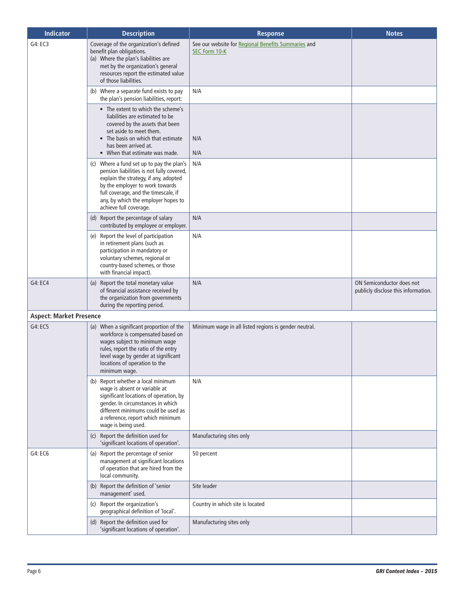| <b>Indicator</b>               | <b>Description</b>                                                                                                                                                                                                                                                          | <b>Response</b>                                                      | <b>Notes</b>                                                     |
|--------------------------------|-----------------------------------------------------------------------------------------------------------------------------------------------------------------------------------------------------------------------------------------------------------------------------|----------------------------------------------------------------------|------------------------------------------------------------------|
| G4: EC3                        | Coverage of the organization's defined<br>benefit plan obligations.<br>(a) Where the plan's liabilities are<br>met by the organization's general<br>resources report the estimated value<br>of those liabilities.                                                           | See our website for Regional Benefits Summaries and<br>SEC Form 10-K |                                                                  |
|                                | (b) Where a separate fund exists to pay<br>the plan's pension liabilities, report:                                                                                                                                                                                          | N/A                                                                  |                                                                  |
|                                | • The extent to which the scheme's<br>liabilities are estimated to be<br>covered by the assets that been<br>set aside to meet them.<br>• The basis on which that estimate<br>has been arrived at.<br>• When that estimate was made.                                         | N/A<br>N/A                                                           |                                                                  |
|                                | (c) Where a fund set up to pay the plan's<br>pension liabilities is not fully covered,<br>explain the strategy, if any, adopted<br>by the employer to work towards<br>full coverage, and the timescale, if<br>any, by which the employer hopes to<br>achieve full coverage. | N/A                                                                  |                                                                  |
|                                | (d) Report the percentage of salary<br>contributed by employee or employer.                                                                                                                                                                                                 | N/A                                                                  |                                                                  |
|                                | (e) Report the level of participation<br>in retirement plans (such as<br>participation in mandatory or<br>voluntary schemes, regional or<br>country-based schemes, or those<br>with financial impact).                                                                      | N/A                                                                  |                                                                  |
| G4: EC4                        | (a) Report the total monetary value<br>of financial assistance received by<br>the organization from governments<br>during the reporting period.                                                                                                                             | N/A                                                                  | ON Semiconductor does not<br>publicly disclose this information. |
| <b>Aspect: Market Presence</b> |                                                                                                                                                                                                                                                                             |                                                                      |                                                                  |
| G4: EC5                        | (a) When a significant proportion of the<br>workforce is compensated based on<br>wages subject to minimum wage<br>rules, report the ratio of the entry<br>level wage by gender at significant<br>locations of operation to the<br>minimum wage.                             | Minimum wage in all listed regions is gender neutral.                |                                                                  |
|                                | (b) Report whether a local minimum<br>wage is absent or variable at<br>significant locations of operation, by<br>gender. In circumstances in which<br>different minimums could be used as<br>a reference, report which minimum<br>wage is being used.                       | N/A                                                                  |                                                                  |
|                                | (c) Report the definition used for<br>'significant locations of operation'.                                                                                                                                                                                                 | Manufacturing sites only                                             |                                                                  |
| G4: EC6                        | (a) Report the percentage of senior<br>management at significant locations<br>of operation that are hired from the<br>local community.                                                                                                                                      | 50 percent                                                           |                                                                  |
|                                | (b) Report the definition of 'senior<br>management' used.                                                                                                                                                                                                                   | Site leader                                                          |                                                                  |
|                                | Report the organization's<br>(c)<br>geographical definition of 'local'.                                                                                                                                                                                                     | Country in which site is located                                     |                                                                  |
|                                | (d) Report the definition used for<br>'significant locations of operation'.                                                                                                                                                                                                 | Manufacturing sites only                                             |                                                                  |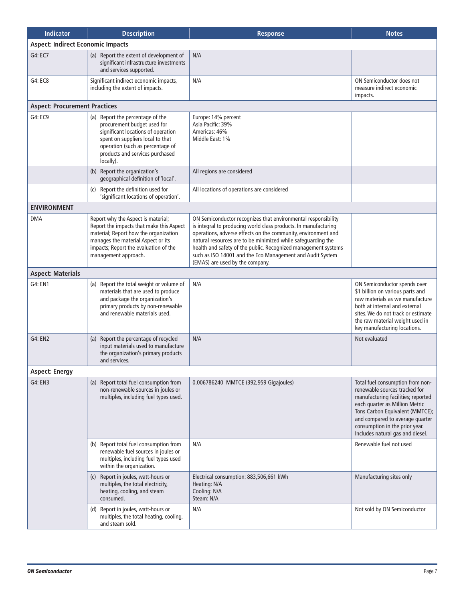| <b>Indicator</b>                         | <b>Description</b>                                                                                                                                                                                                             | <b>Response</b>                                                                                                                                                                                                                                                                                                                                                                                                                     | <b>Notes</b>                                                                                                                                                                                                                                                                          |
|------------------------------------------|--------------------------------------------------------------------------------------------------------------------------------------------------------------------------------------------------------------------------------|-------------------------------------------------------------------------------------------------------------------------------------------------------------------------------------------------------------------------------------------------------------------------------------------------------------------------------------------------------------------------------------------------------------------------------------|---------------------------------------------------------------------------------------------------------------------------------------------------------------------------------------------------------------------------------------------------------------------------------------|
| <b>Aspect: Indirect Economic Impacts</b> |                                                                                                                                                                                                                                |                                                                                                                                                                                                                                                                                                                                                                                                                                     |                                                                                                                                                                                                                                                                                       |
| G4: EC7                                  | (a) Report the extent of development of<br>significant infrastructure investments<br>and services supported.                                                                                                                   | N/A                                                                                                                                                                                                                                                                                                                                                                                                                                 |                                                                                                                                                                                                                                                                                       |
| G4: EC8                                  | Significant indirect economic impacts,<br>including the extent of impacts.                                                                                                                                                     | N/A                                                                                                                                                                                                                                                                                                                                                                                                                                 | ON Semiconductor does not<br>measure indirect economic<br>impacts.                                                                                                                                                                                                                    |
| <b>Aspect: Procurement Practices</b>     |                                                                                                                                                                                                                                |                                                                                                                                                                                                                                                                                                                                                                                                                                     |                                                                                                                                                                                                                                                                                       |
| G4: EC9                                  | (a) Report the percentage of the<br>procurement budget used for<br>significant locations of operation<br>spent on suppliers local to that<br>operation (such as percentage of<br>products and services purchased<br>locally).  | Europe: 14% percent<br>Asia Pacific: 39%<br>Americas: 46%<br>Middle East: 1%                                                                                                                                                                                                                                                                                                                                                        |                                                                                                                                                                                                                                                                                       |
|                                          | (b) Report the organization's<br>geographical definition of 'local'.                                                                                                                                                           | All regions are considered                                                                                                                                                                                                                                                                                                                                                                                                          |                                                                                                                                                                                                                                                                                       |
|                                          | Report the definition used for<br>(c)<br>'significant locations of operation'.                                                                                                                                                 | All locations of operations are considered                                                                                                                                                                                                                                                                                                                                                                                          |                                                                                                                                                                                                                                                                                       |
| <b>ENVIRONMENT</b>                       |                                                                                                                                                                                                                                |                                                                                                                                                                                                                                                                                                                                                                                                                                     |                                                                                                                                                                                                                                                                                       |
| <b>DMA</b>                               | Report why the Aspect is material;<br>Report the impacts that make this Aspect<br>material; Report how the organization<br>manages the material Aspect or its<br>impacts; Report the evaluation of the<br>management approach. | ON Semiconductor recognizes that environmental responsibility<br>is integral to producing world class products. In manufacturing<br>operations, adverse effects on the community, environment and<br>natural resources are to be minimized while safeguarding the<br>health and safety of the public. Recognized management systems<br>such as ISO 14001 and the Eco Management and Audit System<br>(EMAS) are used by the company. |                                                                                                                                                                                                                                                                                       |
| <b>Aspect: Materials</b>                 |                                                                                                                                                                                                                                |                                                                                                                                                                                                                                                                                                                                                                                                                                     |                                                                                                                                                                                                                                                                                       |
| G4: EN1                                  | (a) Report the total weight or volume of<br>materials that are used to produce<br>and package the organization's<br>primary products by non-renewable<br>and renewable materials used.                                         | N/A                                                                                                                                                                                                                                                                                                                                                                                                                                 | ON Semiconductor spends over<br>\$1 billion on various parts and<br>raw materials as we manufacture<br>both at internal and external<br>sites. We do not track or estimate<br>the raw material weight used in<br>key manufacturing locations.                                         |
| G4: EN2                                  | (a) Report the percentage of recycled<br>input materials used to manufacture<br>the organization's primary products<br>and services.                                                                                           | N/A                                                                                                                                                                                                                                                                                                                                                                                                                                 | Not evaluated                                                                                                                                                                                                                                                                         |
| <b>Aspect: Energy</b>                    |                                                                                                                                                                                                                                |                                                                                                                                                                                                                                                                                                                                                                                                                                     |                                                                                                                                                                                                                                                                                       |
| G4: EN3                                  | (a) Report total fuel consumption from<br>non-renewable sources in joules or<br>multiples, including fuel types used.                                                                                                          | 0.006786240 MMTCE (392,959 Gigajoules)                                                                                                                                                                                                                                                                                                                                                                                              | Total fuel consumption from non-<br>renewable sources tracked for<br>manufacturing facilities; reported<br>each quarter as Million Metric<br>Tons Carbon Equivalent (MMTCE);<br>and compared to average quarter<br>consumption in the prior year.<br>Includes natural gas and diesel. |
|                                          | (b) Report total fuel consumption from<br>renewable fuel sources in joules or<br>multiples, including fuel types used<br>within the organization.                                                                              | N/A                                                                                                                                                                                                                                                                                                                                                                                                                                 | Renewable fuel not used                                                                                                                                                                                                                                                               |
|                                          | (c) Report in joules, watt-hours or<br>multiples, the total electricity,<br>heating, cooling, and steam<br>consumed.                                                                                                           | Electrical consumption: 883,506,661 kWh<br>Heating: N/A<br>Cooling: N/A<br>Steam: N/A                                                                                                                                                                                                                                                                                                                                               | Manufacturing sites only                                                                                                                                                                                                                                                              |
|                                          | (d) Report in joules, watt-hours or<br>multiples, the total heating, cooling,<br>and steam sold.                                                                                                                               | N/A                                                                                                                                                                                                                                                                                                                                                                                                                                 | Not sold by ON Semiconductor                                                                                                                                                                                                                                                          |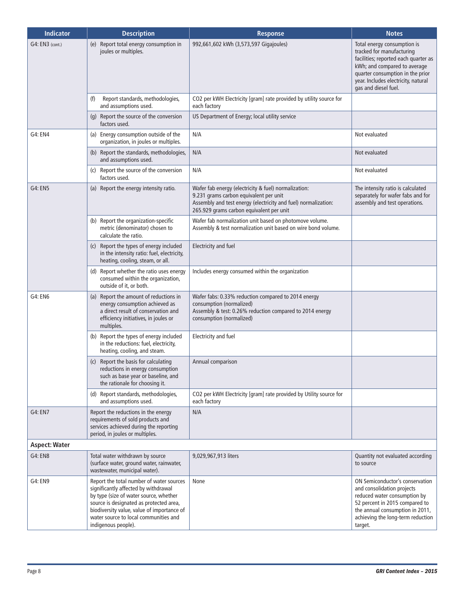| <b>Indicator</b>     | <b>Description</b>                                                                                                                                                                                                                                                                  | <b>Response</b>                                                                                                                                                                                              | <b>Notes</b>                                                                                                                                                                                                                        |
|----------------------|-------------------------------------------------------------------------------------------------------------------------------------------------------------------------------------------------------------------------------------------------------------------------------------|--------------------------------------------------------------------------------------------------------------------------------------------------------------------------------------------------------------|-------------------------------------------------------------------------------------------------------------------------------------------------------------------------------------------------------------------------------------|
| G4: EN3 (cont.)      | (e) Report total energy consumption in<br>joules or multiples.                                                                                                                                                                                                                      | 992,661,602 kWh (3,573,597 Gigajoules)                                                                                                                                                                       | Total energy consumption is<br>tracked for manufacturing<br>facilities; reported each quarter as<br>kWh; and compared to average<br>quarter consumption in the prior<br>year. Includes electricity, natural<br>gas and diesel fuel. |
|                      | Report standards, methodologies,<br>(f)<br>and assumptions used.                                                                                                                                                                                                                    | CO2 per kWH Electricity [gram] rate provided by utility source for<br>each factory                                                                                                                           |                                                                                                                                                                                                                                     |
|                      | (g) Report the source of the conversion<br>factors used.                                                                                                                                                                                                                            | US Department of Energy; local utility service                                                                                                                                                               |                                                                                                                                                                                                                                     |
| G4: EN4              | (a) Energy consumption outside of the<br>organization, in joules or multiples.                                                                                                                                                                                                      | N/A                                                                                                                                                                                                          | Not evaluated                                                                                                                                                                                                                       |
|                      | (b) Report the standards, methodologies,<br>and assumptions used.                                                                                                                                                                                                                   | N/A                                                                                                                                                                                                          | Not evaluated                                                                                                                                                                                                                       |
|                      | (c) Report the source of the conversion<br>factors used.                                                                                                                                                                                                                            | N/A                                                                                                                                                                                                          | Not evaluated                                                                                                                                                                                                                       |
| <b>G4: EN5</b>       | (a) Report the energy intensity ratio.                                                                                                                                                                                                                                              | Wafer fab energy (electricity & fuel) normalization:<br>9.231 grams carbon equivalent per unit<br>Assembly and test energy (electricity and fuel) normalization:<br>265.929 grams carbon equivalent per unit | The intensity ratio is calculated<br>separately for wafer fabs and for<br>assembly and test operations.                                                                                                                             |
|                      | (b) Report the organization-specific<br>metric (denominator) chosen to<br>calculate the ratio.                                                                                                                                                                                      | Wafer fab normalization unit based on photomove volume.<br>Assembly & test normalization unit based on wire bond volume.                                                                                     |                                                                                                                                                                                                                                     |
|                      | (c) Report the types of energy included<br>in the intensity ratio: fuel, electricity,<br>heating, cooling, steam, or all.                                                                                                                                                           | Electricity and fuel                                                                                                                                                                                         |                                                                                                                                                                                                                                     |
|                      | (d) Report whether the ratio uses energy<br>consumed within the organization,<br>outside of it, or both.                                                                                                                                                                            | Includes energy consumed within the organization                                                                                                                                                             |                                                                                                                                                                                                                                     |
| G4: EN6              | (a) Report the amount of reductions in<br>energy consumption achieved as<br>a direct result of conservation and<br>efficiency initiatives, in joules or<br>multiples.                                                                                                               | Wafer fabs: 0.33% reduction compared to 2014 energy<br>consumption (normalized)<br>Assembly & test: 0.26% reduction compared to 2014 energy<br>consumption (normalized)                                      |                                                                                                                                                                                                                                     |
|                      | (b) Report the types of energy included<br>in the reductions: fuel, electricity,<br>heating, cooling, and steam.                                                                                                                                                                    | Electricity and fuel                                                                                                                                                                                         |                                                                                                                                                                                                                                     |
|                      | (c) Report the basis for calculating<br>reductions in energy consumption<br>such as base year or baseline, and<br>the rationale for choosing it.                                                                                                                                    | Annual comparison                                                                                                                                                                                            |                                                                                                                                                                                                                                     |
|                      | (d) Report standards, methodologies,<br>and assumptions used.                                                                                                                                                                                                                       | CO2 per kWH Electricity [gram] rate provided by Utility source for<br>each factory                                                                                                                           |                                                                                                                                                                                                                                     |
| G4: EN7              | Report the reductions in the energy<br>requirements of sold products and<br>services achieved during the reporting<br>period, in joules or multiples.                                                                                                                               | N/A                                                                                                                                                                                                          |                                                                                                                                                                                                                                     |
| <b>Aspect: Water</b> |                                                                                                                                                                                                                                                                                     |                                                                                                                                                                                                              |                                                                                                                                                                                                                                     |
| <b>G4: EN8</b>       | Total water withdrawn by source<br>(surface water, ground water, rainwater,<br>wastewater, municipal water).                                                                                                                                                                        | 9,029,967,913 liters                                                                                                                                                                                         | Quantity not evaluated according<br>to source                                                                                                                                                                                       |
| G4: EN9              | Report the total number of water sources<br>significantly affected by withdrawal<br>by type (size of water source, whether<br>source is designated as protected area,<br>biodiversity value, value of importance of<br>water source to local communities and<br>indigenous people). | None                                                                                                                                                                                                         | ON Semiconductor's conservation<br>and consolidation projects<br>reduced water consumption by<br>52 percent in 2015 compared to<br>the annual consumption in 2011,<br>achieving the long-term reduction<br>target.                  |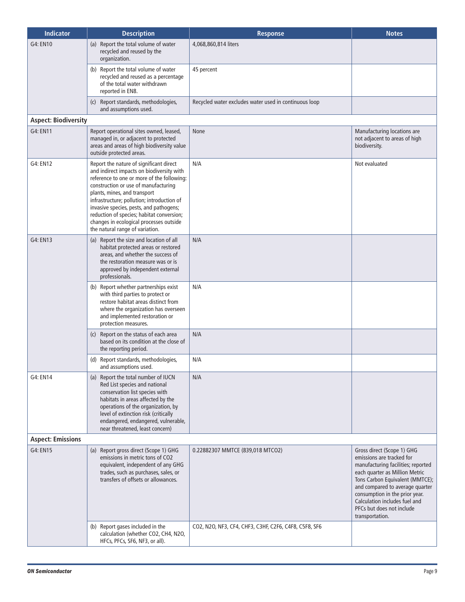| <b>Indicator</b>            | <b>Description</b>                                                                                                                                                                                                                                                                                                                                                                                                             | <b>Response</b>                                       | <b>Notes</b>                                                                                                                                                                                                                                                                                                             |
|-----------------------------|--------------------------------------------------------------------------------------------------------------------------------------------------------------------------------------------------------------------------------------------------------------------------------------------------------------------------------------------------------------------------------------------------------------------------------|-------------------------------------------------------|--------------------------------------------------------------------------------------------------------------------------------------------------------------------------------------------------------------------------------------------------------------------------------------------------------------------------|
| G4: EN10                    | (a) Report the total volume of water<br>recycled and reused by the<br>organization.                                                                                                                                                                                                                                                                                                                                            | 4,068,860,814 liters                                  |                                                                                                                                                                                                                                                                                                                          |
|                             | (b) Report the total volume of water<br>recycled and reused as a percentage<br>of the total water withdrawn<br>reported in EN8.                                                                                                                                                                                                                                                                                                | 45 percent                                            |                                                                                                                                                                                                                                                                                                                          |
|                             | (c) Report standards, methodologies,<br>and assumptions used.                                                                                                                                                                                                                                                                                                                                                                  | Recycled water excludes water used in continuous loop |                                                                                                                                                                                                                                                                                                                          |
| <b>Aspect: Biodiversity</b> |                                                                                                                                                                                                                                                                                                                                                                                                                                |                                                       |                                                                                                                                                                                                                                                                                                                          |
| G4: EN11                    | Report operational sites owned, leased,<br>managed in, or adjacent to protected<br>areas and areas of high biodiversity value<br>outside protected areas.                                                                                                                                                                                                                                                                      | None                                                  | Manufacturing locations are<br>not adjacent to areas of high<br>biodiversity.                                                                                                                                                                                                                                            |
| G4: EN12                    | Report the nature of significant direct<br>and indirect impacts on biodiversity with<br>reference to one or more of the following:<br>construction or use of manufacturing<br>plants, mines, and transport<br>infrastructure; pollution; introduction of<br>invasive species, pests, and pathogens;<br>reduction of species; habitat conversion;<br>changes in ecological processes outside<br>the natural range of variation. | N/A                                                   | Not evaluated                                                                                                                                                                                                                                                                                                            |
| G4: EN13                    | Report the size and location of all<br>(a)<br>habitat protected areas or restored<br>areas, and whether the success of<br>the restoration measure was or is<br>approved by independent external<br>professionals.                                                                                                                                                                                                              | N/A                                                   |                                                                                                                                                                                                                                                                                                                          |
|                             | (b) Report whether partnerships exist<br>with third parties to protect or<br>restore habitat areas distinct from<br>where the organization has overseen<br>and implemented restoration or<br>protection measures.                                                                                                                                                                                                              | N/A                                                   |                                                                                                                                                                                                                                                                                                                          |
|                             | (c) Report on the status of each area<br>based on its condition at the close of<br>the reporting period.                                                                                                                                                                                                                                                                                                                       | N/A                                                   |                                                                                                                                                                                                                                                                                                                          |
|                             | (d) Report standards, methodologies,<br>and assumptions used.                                                                                                                                                                                                                                                                                                                                                                  | N/A                                                   |                                                                                                                                                                                                                                                                                                                          |
| G4: EN14                    | (a) Report the total number of IUCN<br>Red List species and national<br>conservation list species with<br>habitats in areas affected by the<br>operations of the organization, by<br>level of extinction risk (critically<br>endangered, endangered, vulnerable,<br>near threatened, least concern)                                                                                                                            | N/A                                                   |                                                                                                                                                                                                                                                                                                                          |
| <b>Aspect: Emissions</b>    |                                                                                                                                                                                                                                                                                                                                                                                                                                |                                                       |                                                                                                                                                                                                                                                                                                                          |
| G4: EN15                    | (a) Report gross direct (Scope 1) GHG<br>emissions in metric tons of CO2<br>equivalent, independent of any GHG<br>trades, such as purchases, sales, or<br>transfers of offsets or allowances.                                                                                                                                                                                                                                  | 0.22882307 MMTCE (839,018 MTCO2)                      | Gross direct (Scope 1) GHG<br>emissions are tracked for<br>manufacturing facilities; reported<br>each quarter as Million Metric<br>Tons Carbon Equivalent (MMTCE);<br>and compared to average quarter<br>consumption in the prior year.<br>Calculation includes fuel and<br>PFCs but does not include<br>transportation. |
|                             | (b) Report gases included in the<br>calculation (whether CO2, CH4, N2O,<br>HFCs, PFCs, SF6, NF3, or all).                                                                                                                                                                                                                                                                                                                      | CO2, N2O, NF3, CF4, CHF3, C3HF, C2F6, C4F8, C5F8, SF6 |                                                                                                                                                                                                                                                                                                                          |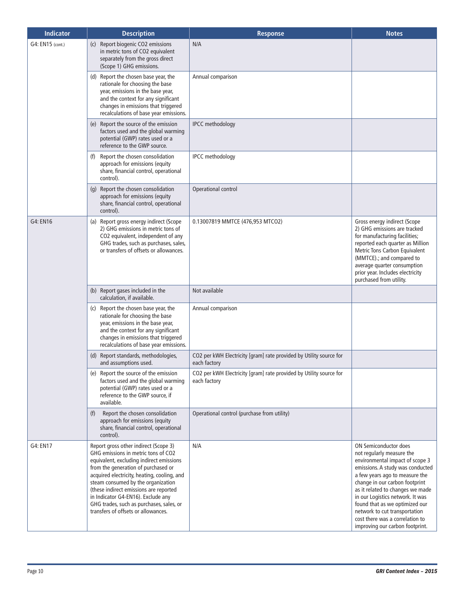| <b>Indicator</b> | <b>Description</b>                                                                                                                                                                                                                                                                                                                                                                                                      | <b>Response</b>                                                                    | <b>Notes</b>                                                                                                                                                                                                                                                                                                                                                                                                   |
|------------------|-------------------------------------------------------------------------------------------------------------------------------------------------------------------------------------------------------------------------------------------------------------------------------------------------------------------------------------------------------------------------------------------------------------------------|------------------------------------------------------------------------------------|----------------------------------------------------------------------------------------------------------------------------------------------------------------------------------------------------------------------------------------------------------------------------------------------------------------------------------------------------------------------------------------------------------------|
| G4: EN15 (cont.) | Report biogenic CO2 emissions<br>(c)<br>in metric tons of CO2 equivalent<br>separately from the gross direct<br>(Scope 1) GHG emissions.                                                                                                                                                                                                                                                                                | N/A                                                                                |                                                                                                                                                                                                                                                                                                                                                                                                                |
|                  | (d) Report the chosen base year, the<br>rationale for choosing the base<br>year, emissions in the base year,<br>and the context for any significant<br>changes in emissions that triggered<br>recalculations of base year emissions.                                                                                                                                                                                    | Annual comparison                                                                  |                                                                                                                                                                                                                                                                                                                                                                                                                |
|                  | (e) Report the source of the emission<br>factors used and the global warming<br>potential (GWP) rates used or a<br>reference to the GWP source.                                                                                                                                                                                                                                                                         | <b>IPCC</b> methodology                                                            |                                                                                                                                                                                                                                                                                                                                                                                                                |
|                  | Report the chosen consolidation<br>(f)<br>approach for emissions (equity<br>share, financial control, operational<br>control).                                                                                                                                                                                                                                                                                          | <b>IPCC</b> methodology                                                            |                                                                                                                                                                                                                                                                                                                                                                                                                |
|                  | (g) Report the chosen consolidation<br>approach for emissions (equity<br>share, financial control, operational<br>control).                                                                                                                                                                                                                                                                                             | Operational control                                                                |                                                                                                                                                                                                                                                                                                                                                                                                                |
| G4: EN16         | (a) Report gross energy indirect (Scope<br>2) GHG emissions in metric tons of<br>CO2 equivalent, independent of any<br>GHG trades, such as purchases, sales,<br>or transfers of offsets or allowances.                                                                                                                                                                                                                  | 0.13007819 MMTCE (476,953 MTCO2)                                                   | Gross energy indirect (Scope<br>2) GHG emissions are tracked<br>for manufacturing facilities;<br>reported each quarter as Million<br>Metric Tons Carbon Equivalent<br>(MMTCE) .; and compared to<br>average quarter consumption<br>prior year. Includes electricity<br>purchased from utility.                                                                                                                 |
|                  | (b) Report gases included in the<br>calculation, if available.                                                                                                                                                                                                                                                                                                                                                          | Not available                                                                      |                                                                                                                                                                                                                                                                                                                                                                                                                |
|                  | (c) Report the chosen base year, the<br>rationale for choosing the base<br>year, emissions in the base year,<br>and the context for any significant<br>changes in emissions that triggered<br>recalculations of base year emissions.                                                                                                                                                                                    | Annual comparison                                                                  |                                                                                                                                                                                                                                                                                                                                                                                                                |
|                  | (d) Report standards, methodologies,<br>and assumptions used.                                                                                                                                                                                                                                                                                                                                                           | CO2 per kWH Electricity [gram] rate provided by Utility source for<br>each factory |                                                                                                                                                                                                                                                                                                                                                                                                                |
|                  | (e) Report the source of the emission<br>factors used and the global warming<br>potential (GWP) rates used or a<br>reference to the GWP source, if<br>available.                                                                                                                                                                                                                                                        | CO2 per kWH Electricity [gram] rate provided by Utility source for<br>each factory |                                                                                                                                                                                                                                                                                                                                                                                                                |
|                  | Report the chosen consolidation<br>(f)<br>approach for emissions (equity<br>share, financial control, operational<br>control).                                                                                                                                                                                                                                                                                          | Operational control (purchase from utility)                                        |                                                                                                                                                                                                                                                                                                                                                                                                                |
| G4: EN17         | Report gross other indirect (Scope 3)<br>GHG emissions in metric tons of CO2<br>equivalent, excluding indirect emissions<br>from the generation of purchased or<br>acquired electricity, heating, cooling, and<br>steam consumed by the organization<br>(these indirect emissions are reported<br>in Indicator G4-EN16). Exclude any<br>GHG trades, such as purchases, sales, or<br>transfers of offsets or allowances. | N/A                                                                                | ON Semiconductor does<br>not regularly measure the<br>environmental impact of scope 3<br>emissions. A study was conducted<br>a few years ago to measure the<br>change in our carbon footprint<br>as it related to changes we made<br>in our Logistics network. It was<br>found that as we optimized our<br>network to cut transportation<br>cost there was a correlation to<br>improving our carbon footprint. |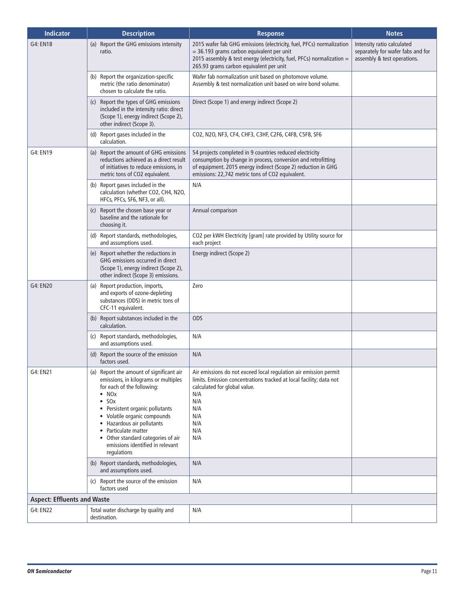| <b>Indicator</b>                   | <b>Description</b>                                                                                                                                                                                                                                                                                                                                                                                  | <b>Response</b>                                                                                                                                                                                                                                | <b>Notes</b>                                                                                   |
|------------------------------------|-----------------------------------------------------------------------------------------------------------------------------------------------------------------------------------------------------------------------------------------------------------------------------------------------------------------------------------------------------------------------------------------------------|------------------------------------------------------------------------------------------------------------------------------------------------------------------------------------------------------------------------------------------------|------------------------------------------------------------------------------------------------|
| G4: EN18                           | (a) Report the GHG emissions intensity<br>ratio.                                                                                                                                                                                                                                                                                                                                                    | 2015 wafer fab GHG emissions (electricity, fuel, PFCs) normalization<br>= 36.193 grams carbon equivalent per unit<br>2015 assembly & test energy (electricity, fuel, PFCs) normalization =<br>265.93 grams carbon equivalent per unit          | Intensity ratio calculated<br>separately for wafer fabs and for<br>assembly & test operations. |
|                                    | (b) Report the organization-specific<br>metric (the ratio denominator)<br>chosen to calculate the ratio.                                                                                                                                                                                                                                                                                            | Wafer fab normalization unit based on photomove volume.<br>Assembly & test normalization unit based on wire bond volume.                                                                                                                       |                                                                                                |
|                                    | (c) Report the types of GHG emissions<br>included in the intensity ratio: direct<br>(Scope 1), energy indirect (Scope 2),<br>other indirect (Scope 3).                                                                                                                                                                                                                                              | Direct (Scope 1) and energy indirect (Scope 2)                                                                                                                                                                                                 |                                                                                                |
|                                    | (d) Report gases included in the<br>calculation.                                                                                                                                                                                                                                                                                                                                                    | CO2, N2O, NF3, CF4, CHF3, C3HF, C2F6, C4F8, C5F8, SF6                                                                                                                                                                                          |                                                                                                |
| G4: EN19                           | (a) Report the amount of GHG emissions<br>reductions achieved as a direct result<br>of initiatives to reduce emissions, in<br>metric tons of CO2 equivalent.                                                                                                                                                                                                                                        | 54 projects completed in 9 countries reduced electricity<br>consumption by change in process, conversion and retrofitting<br>of equipment. 2015 energy indirect (Scope 2) reduction in GHG<br>emissions: 22,742 metric tons of CO2 equivalent. |                                                                                                |
|                                    | (b) Report gases included in the<br>calculation (whether CO2, CH4, N2O,<br>HFCs, PFCs, SF6, NF3, or all).                                                                                                                                                                                                                                                                                           | N/A                                                                                                                                                                                                                                            |                                                                                                |
|                                    | (c) Report the chosen base year or<br>baseline and the rationale for<br>choosing it.                                                                                                                                                                                                                                                                                                                | Annual comparison                                                                                                                                                                                                                              |                                                                                                |
|                                    | (d) Report standards, methodologies,<br>and assumptions used.                                                                                                                                                                                                                                                                                                                                       | CO2 per kWH Electricity [gram] rate provided by Utility source for<br>each project                                                                                                                                                             |                                                                                                |
|                                    | (e) Report whether the reductions in<br>GHG emissions occurred in direct<br>(Scope 1), energy indirect (Scope 2),<br>other indirect (Scope 3) emissions.                                                                                                                                                                                                                                            | Energy indirect (Scope 2)                                                                                                                                                                                                                      |                                                                                                |
| G4: EN20                           | (a) Report production, imports,<br>and exports of ozone-depleting<br>substances (ODS) in metric tons of<br>CFC-11 equivalent.                                                                                                                                                                                                                                                                       | Zero                                                                                                                                                                                                                                           |                                                                                                |
|                                    | (b) Report substances included in the<br>calculation.                                                                                                                                                                                                                                                                                                                                               | <b>ODS</b>                                                                                                                                                                                                                                     |                                                                                                |
|                                    | (c) Report standards, methodologies,<br>and assumptions used.                                                                                                                                                                                                                                                                                                                                       | N/A                                                                                                                                                                                                                                            |                                                                                                |
|                                    | (d) Report the source of the emission<br>factors used.                                                                                                                                                                                                                                                                                                                                              | N/A                                                                                                                                                                                                                                            |                                                                                                |
| G4: EN21                           | (a) Report the amount of significant air<br>emissions, in kilograms or multiples<br>for each of the following:<br>$\bullet$ NO <sub>x</sub><br>SOx<br>$\bullet$<br>Persistent organic pollutants<br>Volatile organic compounds<br>$\bullet$<br>Hazardous air pollutants<br>Particulate matter<br>$\bullet$<br>• Other standard categories of air<br>emissions identified in relevant<br>regulations | Air emissions do not exceed local regulation air emission permit<br>limits. Emission concentrations tracked at local facility; data not<br>calculated for global value.<br>N/A<br>N/A<br>N/A<br>N/A<br>N/A<br>N/A<br>N/A                       |                                                                                                |
|                                    | (b) Report standards, methodologies,<br>and assumptions used.                                                                                                                                                                                                                                                                                                                                       | N/A                                                                                                                                                                                                                                            |                                                                                                |
|                                    | Report the source of the emission<br>(c)<br>factors used                                                                                                                                                                                                                                                                                                                                            | N/A                                                                                                                                                                                                                                            |                                                                                                |
| <b>Aspect: Effluents and Waste</b> |                                                                                                                                                                                                                                                                                                                                                                                                     |                                                                                                                                                                                                                                                |                                                                                                |
| G4: EN22                           | Total water discharge by quality and<br>destination.                                                                                                                                                                                                                                                                                                                                                | N/A                                                                                                                                                                                                                                            |                                                                                                |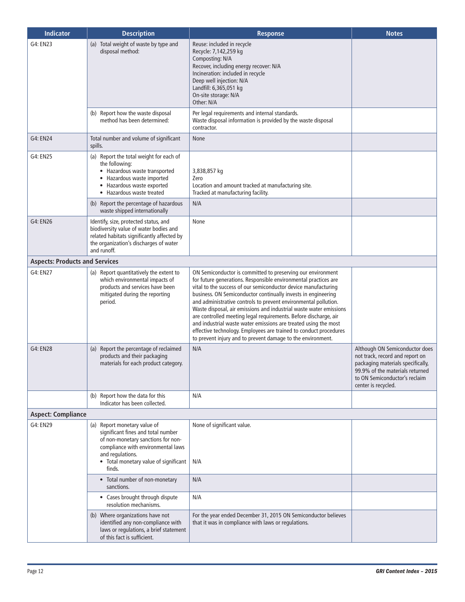| <b>Indicator</b>                      | <b>Description</b>                                                                                                                                                                                                    | Response                                                                                                                                                                                                                                                                                                                                                                                                                                                                                                                                                                                                                                                                              | <b>Notes</b>                                                                                                                                                                                      |
|---------------------------------------|-----------------------------------------------------------------------------------------------------------------------------------------------------------------------------------------------------------------------|---------------------------------------------------------------------------------------------------------------------------------------------------------------------------------------------------------------------------------------------------------------------------------------------------------------------------------------------------------------------------------------------------------------------------------------------------------------------------------------------------------------------------------------------------------------------------------------------------------------------------------------------------------------------------------------|---------------------------------------------------------------------------------------------------------------------------------------------------------------------------------------------------|
| G4: EN23                              | (a) Total weight of waste by type and<br>disposal method:                                                                                                                                                             | Reuse: included in recycle<br>Recycle: 7,142,259 kg<br>Composting: N/A<br>Recover, including energy recover: N/A<br>Incineration: included in recycle<br>Deep well injection: N/A<br>Landfill: 6,365,051 kg<br>On-site storage: N/A<br>Other: N/A                                                                                                                                                                                                                                                                                                                                                                                                                                     |                                                                                                                                                                                                   |
|                                       | (b) Report how the waste disposal<br>method has been determined:                                                                                                                                                      | Per legal requirements and internal standards.<br>Waste disposal information is provided by the waste disposal<br>contractor.                                                                                                                                                                                                                                                                                                                                                                                                                                                                                                                                                         |                                                                                                                                                                                                   |
| G4: EN24                              | Total number and volume of significant<br>spills.                                                                                                                                                                     | None                                                                                                                                                                                                                                                                                                                                                                                                                                                                                                                                                                                                                                                                                  |                                                                                                                                                                                                   |
| G4: EN25                              | (a) Report the total weight for each of<br>the following:<br>• Hazardous waste transported<br>• Hazardous waste imported<br>Hazardous waste exported<br>• Hazardous waste treated                                     | 3,838,857 kg<br>Zero<br>Location and amount tracked at manufacturing site.<br>Tracked at manufacturing facility.                                                                                                                                                                                                                                                                                                                                                                                                                                                                                                                                                                      |                                                                                                                                                                                                   |
|                                       | (b) Report the percentage of hazardous<br>waste shipped internationally                                                                                                                                               | N/A                                                                                                                                                                                                                                                                                                                                                                                                                                                                                                                                                                                                                                                                                   |                                                                                                                                                                                                   |
| G4: EN26                              | Identify, size, protected status, and<br>biodiversity value of water bodies and<br>related habitats significantly affected by<br>the organization's discharges of water<br>and runoff.                                | None                                                                                                                                                                                                                                                                                                                                                                                                                                                                                                                                                                                                                                                                                  |                                                                                                                                                                                                   |
| <b>Aspects: Products and Services</b> |                                                                                                                                                                                                                       |                                                                                                                                                                                                                                                                                                                                                                                                                                                                                                                                                                                                                                                                                       |                                                                                                                                                                                                   |
| G4: EN27                              | (a) Report quantitatively the extent to<br>which environmental impacts of<br>products and services have been<br>mitigated during the reporting<br>period.                                                             | ON Semiconductor is committed to preserving our environment<br>for future generations. Responsible environmental practices are<br>vital to the success of our semiconductor device manufacturing<br>business. ON Semiconductor continually invests in engineering<br>and administrative controls to prevent environmental pollution.<br>Waste disposal, air emissions and industrial waste water emissions<br>are controlled meeting legal requirements. Before discharge, air<br>and industrial waste water emissions are treated using the most<br>effective technology. Employees are trained to conduct procedures<br>to prevent injury and to prevent damage to the environment. |                                                                                                                                                                                                   |
| G4: EN28                              | (a) Report the percentage of reclaimed<br>products and their packaging<br>materials for each product category.                                                                                                        | N/A                                                                                                                                                                                                                                                                                                                                                                                                                                                                                                                                                                                                                                                                                   | Although ON Semiconductor does<br>not track, record and report on<br>packaging materials specifically,<br>99.9% of the materials returned<br>to ON Semiconductor's reclaim<br>center is recycled. |
|                                       | (b) Report how the data for this<br>Indicator has been collected.                                                                                                                                                     | N/A                                                                                                                                                                                                                                                                                                                                                                                                                                                                                                                                                                                                                                                                                   |                                                                                                                                                                                                   |
| <b>Aspect: Compliance</b>             |                                                                                                                                                                                                                       |                                                                                                                                                                                                                                                                                                                                                                                                                                                                                                                                                                                                                                                                                       |                                                                                                                                                                                                   |
| G4: EN29                              | (a) Report monetary value of<br>significant fines and total number<br>of non-monetary sanctions for non-<br>compliance with environmental laws<br>and regulations.<br>• Total monetary value of significant<br>finds. | None of significant value.<br>N/A                                                                                                                                                                                                                                                                                                                                                                                                                                                                                                                                                                                                                                                     |                                                                                                                                                                                                   |
|                                       | • Total number of non-monetary<br>sanctions.                                                                                                                                                                          | N/A                                                                                                                                                                                                                                                                                                                                                                                                                                                                                                                                                                                                                                                                                   |                                                                                                                                                                                                   |
|                                       | • Cases brought through dispute<br>resolution mechanisms.                                                                                                                                                             | N/A                                                                                                                                                                                                                                                                                                                                                                                                                                                                                                                                                                                                                                                                                   |                                                                                                                                                                                                   |
|                                       | (b) Where organizations have not<br>identified any non-compliance with<br>laws or regulations, a brief statement<br>of this fact is sufficient.                                                                       | For the year ended December 31, 2015 ON Semiconductor believes<br>that it was in compliance with laws or regulations.                                                                                                                                                                                                                                                                                                                                                                                                                                                                                                                                                                 |                                                                                                                                                                                                   |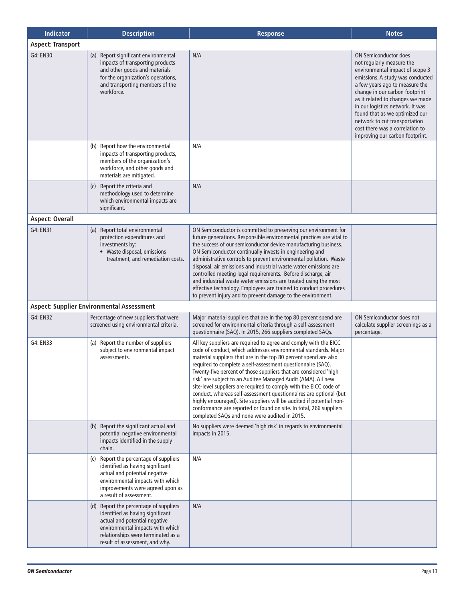| <b>Indicator</b>         | <b>Description</b>                                                                                                                                                                                                      | <b>Response</b>                                                                                                                                                                                                                                                                                                                                                                                                                                                                                                                                                                                                                                                                                                                                     | <b>Notes</b>                                                                                                                                                                                                                                                                                                                                                                                                          |
|--------------------------|-------------------------------------------------------------------------------------------------------------------------------------------------------------------------------------------------------------------------|-----------------------------------------------------------------------------------------------------------------------------------------------------------------------------------------------------------------------------------------------------------------------------------------------------------------------------------------------------------------------------------------------------------------------------------------------------------------------------------------------------------------------------------------------------------------------------------------------------------------------------------------------------------------------------------------------------------------------------------------------------|-----------------------------------------------------------------------------------------------------------------------------------------------------------------------------------------------------------------------------------------------------------------------------------------------------------------------------------------------------------------------------------------------------------------------|
| <b>Aspect: Transport</b> |                                                                                                                                                                                                                         |                                                                                                                                                                                                                                                                                                                                                                                                                                                                                                                                                                                                                                                                                                                                                     |                                                                                                                                                                                                                                                                                                                                                                                                                       |
| G4: EN30                 | (a) Report significant environmental<br>impacts of transporting products<br>and other goods and materials<br>for the organization's operations,<br>and transporting members of the<br>workforce.                        | N/A                                                                                                                                                                                                                                                                                                                                                                                                                                                                                                                                                                                                                                                                                                                                                 | <b>ON Semiconductor does</b><br>not regularly measure the<br>environmental impact of scope 3<br>emissions. A study was conducted<br>a few years ago to measure the<br>change in our carbon footprint<br>as it related to changes we made<br>in our logistics network. It was<br>found that as we optimized our<br>network to cut transportation<br>cost there was a correlation to<br>improving our carbon footprint. |
|                          | (b) Report how the environmental<br>impacts of transporting products,<br>members of the organization's<br>workforce, and other goods and<br>materials are mitigated.                                                    | N/A                                                                                                                                                                                                                                                                                                                                                                                                                                                                                                                                                                                                                                                                                                                                                 |                                                                                                                                                                                                                                                                                                                                                                                                                       |
|                          | (c) Report the criteria and<br>methodology used to determine<br>which environmental impacts are<br>significant.                                                                                                         | N/A                                                                                                                                                                                                                                                                                                                                                                                                                                                                                                                                                                                                                                                                                                                                                 |                                                                                                                                                                                                                                                                                                                                                                                                                       |
| <b>Aspect: Overall</b>   |                                                                                                                                                                                                                         |                                                                                                                                                                                                                                                                                                                                                                                                                                                                                                                                                                                                                                                                                                                                                     |                                                                                                                                                                                                                                                                                                                                                                                                                       |
| G4: EN31                 | (a) Report total environmental<br>protection expenditures and<br>investments by:<br>• Waste disposal, emissions<br>treatment, and remediation costs.                                                                    | ON Semiconductor is committed to preserving our environment for<br>future generations. Responsible environmental practices are vital to<br>the success of our semiconductor device manufacturing business.<br>ON Semiconductor continually invests in engineering and<br>administrative controls to prevent environmental pollution. Waste<br>disposal, air emissions and industrial waste water emissions are<br>controlled meeting legal requirements. Before discharge, air<br>and industrial waste water emissions are treated using the most<br>effective technology. Employees are trained to conduct procedures<br>to prevent injury and to prevent damage to the environment.                                                               |                                                                                                                                                                                                                                                                                                                                                                                                                       |
|                          | <b>Aspect: Supplier Environmental Assessment</b>                                                                                                                                                                        |                                                                                                                                                                                                                                                                                                                                                                                                                                                                                                                                                                                                                                                                                                                                                     |                                                                                                                                                                                                                                                                                                                                                                                                                       |
| G4: EN32                 | Percentage of new suppliers that were<br>screened using environmental criteria.                                                                                                                                         | Major material suppliers that are in the top 80 percent spend are<br>screened for environmental criteria through a self-assessment<br>questionnaire (SAQ). In 2015, 266 suppliers completed SAQs.                                                                                                                                                                                                                                                                                                                                                                                                                                                                                                                                                   | ON Semiconductor does not<br>calculate supplier screenings as a<br>percentage.                                                                                                                                                                                                                                                                                                                                        |
| G4: EN33                 | (a) Report the number of suppliers<br>subject to environmental impact<br>assessments.                                                                                                                                   | All key suppliers are required to agree and comply with the EICC<br>code of conduct, which addresses environmental standards. Major<br>material suppliers that are in the top 80 percent spend are also<br>required to complete a self-assessment questionnaire (SAQ).<br>Twenty-five percent of those suppliers that are considered 'high<br>risk' are subject to an Auditee Managed Audit (AMA). All new<br>site-level suppliers are required to comply with the EICC code of<br>conduct, whereas self-assessment questionnaires are optional (but<br>highly encouraged). Site suppliers will be audited if potential non-<br>conformance are reported or found on site. In total, 266 suppliers<br>completed SAOs and none were audited in 2015. |                                                                                                                                                                                                                                                                                                                                                                                                                       |
|                          | (b) Report the significant actual and<br>potential negative environmental<br>impacts identified in the supply<br>chain.                                                                                                 | No suppliers were deemed 'high risk' in regards to environmental<br>impacts in 2015.                                                                                                                                                                                                                                                                                                                                                                                                                                                                                                                                                                                                                                                                |                                                                                                                                                                                                                                                                                                                                                                                                                       |
|                          | (c) Report the percentage of suppliers<br>identified as having significant<br>actual and potential negative<br>environmental impacts with which<br>improvements were agreed upon as<br>a result of assessment.          | N/A                                                                                                                                                                                                                                                                                                                                                                                                                                                                                                                                                                                                                                                                                                                                                 |                                                                                                                                                                                                                                                                                                                                                                                                                       |
|                          | (d) Report the percentage of suppliers<br>identified as having significant<br>actual and potential negative<br>environmental impacts with which<br>relationships were terminated as a<br>result of assessment, and why. | N/A                                                                                                                                                                                                                                                                                                                                                                                                                                                                                                                                                                                                                                                                                                                                                 |                                                                                                                                                                                                                                                                                                                                                                                                                       |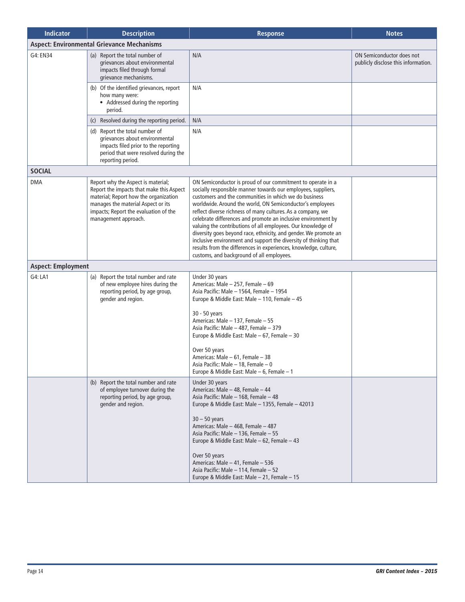| <b>Indicator</b>          | <b>Description</b>                                                                                                                                                                                                             | <b>Response</b>                                                                                                                                                                                                                                                                                                                                                                                                                                                                                                                                                                                                                                                                                             | <b>Notes</b>                                                     |
|---------------------------|--------------------------------------------------------------------------------------------------------------------------------------------------------------------------------------------------------------------------------|-------------------------------------------------------------------------------------------------------------------------------------------------------------------------------------------------------------------------------------------------------------------------------------------------------------------------------------------------------------------------------------------------------------------------------------------------------------------------------------------------------------------------------------------------------------------------------------------------------------------------------------------------------------------------------------------------------------|------------------------------------------------------------------|
|                           | <b>Aspect: Environmental Grievance Mechanisms</b>                                                                                                                                                                              |                                                                                                                                                                                                                                                                                                                                                                                                                                                                                                                                                                                                                                                                                                             |                                                                  |
| G4: EN34                  | (a) Report the total number of<br>grievances about environmental<br>impacts filed through formal<br>grievance mechanisms.                                                                                                      | N/A                                                                                                                                                                                                                                                                                                                                                                                                                                                                                                                                                                                                                                                                                                         | ON Semiconductor does not<br>publicly disclose this information. |
|                           | (b) Of the identified grievances, report<br>how many were:<br>• Addressed during the reporting<br>period.                                                                                                                      | N/A                                                                                                                                                                                                                                                                                                                                                                                                                                                                                                                                                                                                                                                                                                         |                                                                  |
|                           | (c) Resolved during the reporting period.                                                                                                                                                                                      | N/A                                                                                                                                                                                                                                                                                                                                                                                                                                                                                                                                                                                                                                                                                                         |                                                                  |
|                           | (d) Report the total number of<br>grievances about environmental<br>impacts filed prior to the reporting<br>period that were resolved during the<br>reporting period.                                                          | N/A                                                                                                                                                                                                                                                                                                                                                                                                                                                                                                                                                                                                                                                                                                         |                                                                  |
| <b>SOCIAL</b>             |                                                                                                                                                                                                                                |                                                                                                                                                                                                                                                                                                                                                                                                                                                                                                                                                                                                                                                                                                             |                                                                  |
| <b>DMA</b>                | Report why the Aspect is material;<br>Report the impacts that make this Aspect<br>material; Report how the organization<br>manages the material Aspect or its<br>impacts; Report the evaluation of the<br>management approach. | ON Semiconductor is proud of our commitment to operate in a<br>socially responsible manner towards our employees, suppliers,<br>customers and the communities in which we do business<br>worldwide. Around the world, ON Semiconductor's employees<br>reflect diverse richness of many cultures. As a company, we<br>celebrate differences and promote an inclusive environment by<br>valuing the contributions of all employees. Our knowledge of<br>diversity goes beyond race, ethnicity, and gender. We promote an<br>inclusive environment and support the diversity of thinking that<br>results from the differences in experiences, knowledge, culture,<br>customs, and background of all employees. |                                                                  |
| <b>Aspect: Employment</b> |                                                                                                                                                                                                                                |                                                                                                                                                                                                                                                                                                                                                                                                                                                                                                                                                                                                                                                                                                             |                                                                  |
| G4: LA1                   | (a) Report the total number and rate<br>of new employee hires during the<br>reporting period, by age group,<br>gender and region.                                                                                              | Under 30 years<br>Americas: Male - 257, Female - 69<br>Asia Pacific: Male - 1564, Female - 1954<br>Europe & Middle East: Male - 110, Female - 45<br>30 - 50 years<br>Americas: Male - 137, Female - 55<br>Asia Pacific: Male - 487, Female - 379<br>Europe & Middle East: Male - 67, Female - 30<br>Over 50 years<br>Americas: Male - 61, Female - 38<br>Asia Pacific: Male - 18, Female - 0<br>Europe & Middle East: Male – 6, Female – 1                                                                                                                                                                                                                                                                  |                                                                  |
|                           | (b) Report the total number and rate<br>of employee turnover during the<br>reporting period, by age group,<br>gender and region.                                                                                               | Under 30 years<br>Americas: Male - 48, Female - 44<br>Asia Pacific: Male - 168, Female - 48<br>Europe & Middle East: Male - 1355, Female - 42013<br>$30 - 50$ years<br>Americas: Male - 468, Female - 487<br>Asia Pacific: Male - 136, Female - 55<br>Europe & Middle East: Male - 62, Female - 43<br>Over 50 years<br>Americas: Male - 41, Female - 536<br>Asia Pacific: Male - 114, Female - 52<br>Europe & Middle East: Male - 21, Female - 15                                                                                                                                                                                                                                                           |                                                                  |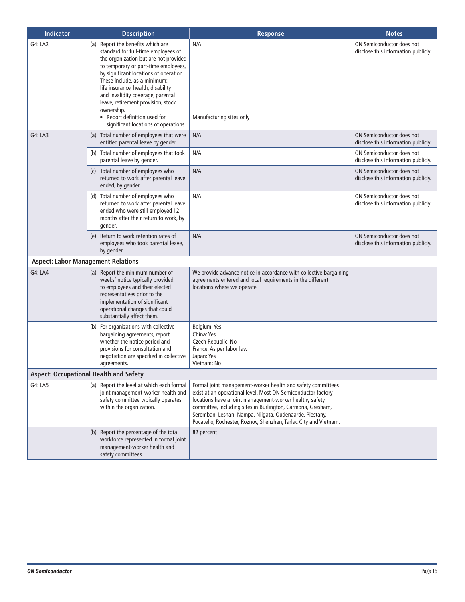| <b>Indicator</b>                          | <b>Description</b>                                                                                                                                                                                                                                                                                                                                                                                                                        | <b>Response</b>                                                                                                                                                                                                                                                                                                                                                                      | <b>Notes</b>                                                     |
|-------------------------------------------|-------------------------------------------------------------------------------------------------------------------------------------------------------------------------------------------------------------------------------------------------------------------------------------------------------------------------------------------------------------------------------------------------------------------------------------------|--------------------------------------------------------------------------------------------------------------------------------------------------------------------------------------------------------------------------------------------------------------------------------------------------------------------------------------------------------------------------------------|------------------------------------------------------------------|
| G4: LA2                                   | (a) Report the benefits which are<br>standard for full-time employees of<br>the organization but are not provided<br>to temporary or part-time employees,<br>by significant locations of operation.<br>These include, as a minimum:<br>life insurance, health, disability<br>and invalidity coverage, parental<br>leave, retirement provision, stock<br>ownership.<br>• Report definition used for<br>significant locations of operations | N/A<br>Manufacturing sites only                                                                                                                                                                                                                                                                                                                                                      | ON Semiconductor does not<br>disclose this information publicly. |
| G4: LA3                                   | (a) Total number of employees that were<br>entitled parental leave by gender.                                                                                                                                                                                                                                                                                                                                                             | N/A                                                                                                                                                                                                                                                                                                                                                                                  | ON Semiconductor does not<br>disclose this information publicly. |
|                                           | (b) Total number of employees that took<br>parental leave by gender.                                                                                                                                                                                                                                                                                                                                                                      | N/A                                                                                                                                                                                                                                                                                                                                                                                  | ON Semiconductor does not<br>disclose this information publicly. |
|                                           | (c) Total number of employees who<br>returned to work after parental leave<br>ended, by gender.                                                                                                                                                                                                                                                                                                                                           | N/A                                                                                                                                                                                                                                                                                                                                                                                  | ON Semiconductor does not<br>disclose this information publicly. |
|                                           | (d) Total number of employees who<br>returned to work after parental leave<br>ended who were still employed 12<br>months after their return to work, by<br>gender.                                                                                                                                                                                                                                                                        | N/A                                                                                                                                                                                                                                                                                                                                                                                  | ON Semiconductor does not<br>disclose this information publicly. |
|                                           | (e) Return to work retention rates of<br>employees who took parental leave,<br>by gender.                                                                                                                                                                                                                                                                                                                                                 | N/A                                                                                                                                                                                                                                                                                                                                                                                  | ON Semiconductor does not<br>disclose this information publicly. |
| <b>Aspect: Labor Management Relations</b> |                                                                                                                                                                                                                                                                                                                                                                                                                                           |                                                                                                                                                                                                                                                                                                                                                                                      |                                                                  |
| G4: LA4                                   | (a) Report the minimum number of<br>weeks' notice typically provided<br>to employees and their elected<br>representatives prior to the<br>implementation of significant<br>operational changes that could<br>substantially affect them.                                                                                                                                                                                                   | We provide advance notice in accordance with collective bargaining<br>agreements entered and local requirements in the different<br>locations where we operate.                                                                                                                                                                                                                      |                                                                  |
|                                           | (b) For organizations with collective<br>bargaining agreements, report<br>whether the notice period and<br>provisions for consultation and<br>negotiation are specified in collective<br>agreements.                                                                                                                                                                                                                                      | Belgium: Yes<br>China: Yes<br>Czech Republic: No<br>France: As per labor law<br>Japan: Yes<br>Vietnam: No                                                                                                                                                                                                                                                                            |                                                                  |
|                                           | <b>Aspect: Occupational Health and Safety</b>                                                                                                                                                                                                                                                                                                                                                                                             |                                                                                                                                                                                                                                                                                                                                                                                      |                                                                  |
| G4: LA5                                   | (a) Report the level at which each formal<br>joint management-worker health and<br>safety committee typically operates<br>within the organization.                                                                                                                                                                                                                                                                                        | Formal joint management-worker health and safety committees<br>exist at an operational level. Most ON Semiconductor factory<br>locations have a joint management-worker healthy safety<br>committee, including sites in Burlington, Carmona, Gresham,<br>Seremban, Leshan, Nampa, Niigata, Oudenaarde, Piestany,<br>Pocatello, Rochester, Roznov, Shenzhen, Tarlac City and Vietnam. |                                                                  |
|                                           | (b) Report the percentage of the total<br>workforce represented in formal joint<br>management-worker health and<br>safety committees.                                                                                                                                                                                                                                                                                                     | 82 percent                                                                                                                                                                                                                                                                                                                                                                           |                                                                  |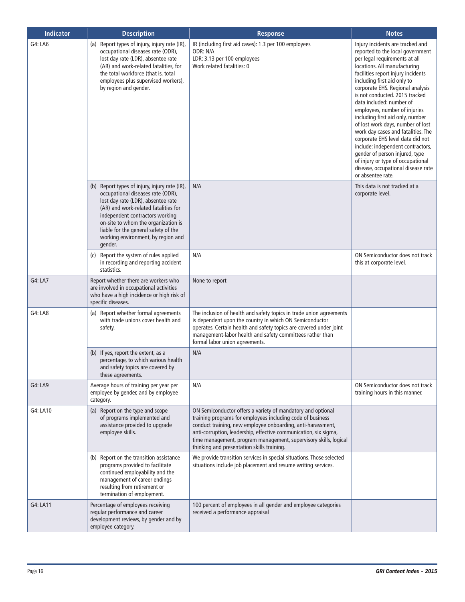| <b>Indicator</b> | <b>Description</b>                                                                                                                                                                                                                                                                                                                  | <b>Response</b>                                                                                                                                                                                                                                                                                                                                                                | <b>Notes</b>                                                                                                                                                                                                                                                                                                                                                                                                                                                                                                                                                                                                                                                            |
|------------------|-------------------------------------------------------------------------------------------------------------------------------------------------------------------------------------------------------------------------------------------------------------------------------------------------------------------------------------|--------------------------------------------------------------------------------------------------------------------------------------------------------------------------------------------------------------------------------------------------------------------------------------------------------------------------------------------------------------------------------|-------------------------------------------------------------------------------------------------------------------------------------------------------------------------------------------------------------------------------------------------------------------------------------------------------------------------------------------------------------------------------------------------------------------------------------------------------------------------------------------------------------------------------------------------------------------------------------------------------------------------------------------------------------------------|
| G4: LA6          | Report types of injury, injury rate (IR),<br>(a)<br>occupational diseases rate (ODR),<br>lost day rate (LDR), absentee rate<br>(AR) and work-related fatalities, for<br>the total workforce (that is, total<br>employees plus supervised workers),<br>by region and gender.                                                         | IR (including first aid cases): 1.3 per 100 employees<br>ODR: N/A<br>LDR: 3.13 per 100 employees<br>Work related fatalities: 0                                                                                                                                                                                                                                                 | Injury incidents are tracked and<br>reported to the local government<br>per legal requirements at all<br>locations. All manufacturing<br>facilities report injury incidents<br>including first aid only to<br>corporate EHS. Regional analysis<br>is not conducted. 2015 tracked<br>data included: number of<br>employees, number of injuries<br>including first aid only, number<br>of lost work days, number of lost<br>work day cases and fatalities. The<br>corporate EHS level data did not<br>include: independent contractors,<br>gender of person injured, type<br>of injury or type of occupational<br>disease, occupational disease rate<br>or absentee rate. |
|                  | (b) Report types of injury, injury rate (IR),<br>occupational diseases rate (ODR),<br>lost day rate (LDR), absentee rate<br>(AR) and work-related fatalities for<br>independent contractors working<br>on-site to whom the organization is<br>liable for the general safety of the<br>working environment, by region and<br>gender. | N/A                                                                                                                                                                                                                                                                                                                                                                            | This data is not tracked at a<br>corporate level.                                                                                                                                                                                                                                                                                                                                                                                                                                                                                                                                                                                                                       |
|                  | (c) Report the system of rules applied<br>in recording and reporting accident<br>statistics.                                                                                                                                                                                                                                        | N/A                                                                                                                                                                                                                                                                                                                                                                            | ON Semiconductor does not track<br>this at corporate level.                                                                                                                                                                                                                                                                                                                                                                                                                                                                                                                                                                                                             |
| G4: LA7          | Report whether there are workers who<br>are involved in occupational activities<br>who have a high incidence or high risk of<br>specific diseases.                                                                                                                                                                                  | None to report                                                                                                                                                                                                                                                                                                                                                                 |                                                                                                                                                                                                                                                                                                                                                                                                                                                                                                                                                                                                                                                                         |
| G4: LA8          | (a) Report whether formal agreements<br>with trade unions cover health and<br>safety.                                                                                                                                                                                                                                               | The inclusion of health and safety topics in trade union agreements<br>is dependent upon the country in which ON Semiconductor<br>operates. Certain health and safety topics are covered under joint<br>management-labor health and safety committees rather than<br>formal labor union agreements.                                                                            |                                                                                                                                                                                                                                                                                                                                                                                                                                                                                                                                                                                                                                                                         |
|                  | (b) If yes, report the extent, as a<br>percentage, to which various health<br>and safety topics are covered by<br>these agreements.                                                                                                                                                                                                 | N/A                                                                                                                                                                                                                                                                                                                                                                            |                                                                                                                                                                                                                                                                                                                                                                                                                                                                                                                                                                                                                                                                         |
| G4: LA9          | Average hours of training per year per<br>employee by gender, and by employee<br>category.                                                                                                                                                                                                                                          | N/A                                                                                                                                                                                                                                                                                                                                                                            | ON Semiconductor does not track<br>training hours in this manner.                                                                                                                                                                                                                                                                                                                                                                                                                                                                                                                                                                                                       |
| G4: LA10         | (a) Report on the type and scope<br>of programs implemented and<br>assistance provided to upgrade<br>employee skills.                                                                                                                                                                                                               | ON Semiconductor offers a variety of mandatory and optional<br>training programs for employees including code of business<br>conduct training, new employee onboarding, anti-harassment,<br>anti-corruption, leadership, effective communication, six sigma,<br>time management, program management, supervisory skills, logical<br>thinking and presentation skills training. |                                                                                                                                                                                                                                                                                                                                                                                                                                                                                                                                                                                                                                                                         |
|                  | (b) Report on the transition assistance<br>programs provided to facilitate<br>continued employability and the<br>management of career endings<br>resulting from retirement or<br>termination of employment.                                                                                                                         | We provide transition services in special situations. Those selected<br>situations include job placement and resume writing services.                                                                                                                                                                                                                                          |                                                                                                                                                                                                                                                                                                                                                                                                                                                                                                                                                                                                                                                                         |
| G4: LA11         | Percentage of employees receiving<br>regular performance and career<br>development reviews, by gender and by<br>employee category.                                                                                                                                                                                                  | 100 percent of employees in all gender and employee categories<br>received a performance appraisal                                                                                                                                                                                                                                                                             |                                                                                                                                                                                                                                                                                                                                                                                                                                                                                                                                                                                                                                                                         |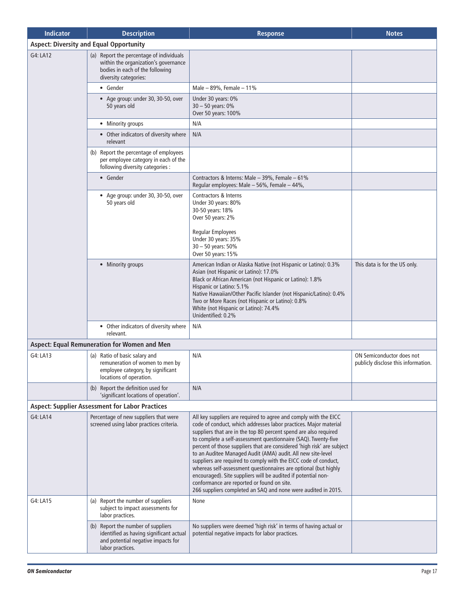| <b>Indicator</b> | <b>Description</b>                                                                                                                           | <b>Response</b>                                                                                                                                                                                                                                                                                                                                                                                                                                                                                                                                                                                                                                                                                                                           | <b>Notes</b>                                                     |  |  |
|------------------|----------------------------------------------------------------------------------------------------------------------------------------------|-------------------------------------------------------------------------------------------------------------------------------------------------------------------------------------------------------------------------------------------------------------------------------------------------------------------------------------------------------------------------------------------------------------------------------------------------------------------------------------------------------------------------------------------------------------------------------------------------------------------------------------------------------------------------------------------------------------------------------------------|------------------------------------------------------------------|--|--|
|                  | <b>Aspect: Diversity and Equal Opportunity</b>                                                                                               |                                                                                                                                                                                                                                                                                                                                                                                                                                                                                                                                                                                                                                                                                                                                           |                                                                  |  |  |
| G4: LA12         | (a) Report the percentage of individuals<br>within the organization's governance<br>bodies in each of the following<br>diversity categories: |                                                                                                                                                                                                                                                                                                                                                                                                                                                                                                                                                                                                                                                                                                                                           |                                                                  |  |  |
|                  | • Gender                                                                                                                                     | Male $-89%$ , Female $-11%$                                                                                                                                                                                                                                                                                                                                                                                                                                                                                                                                                                                                                                                                                                               |                                                                  |  |  |
|                  | • Age group: under 30, 30-50, over<br>50 years old                                                                                           | Under 30 years: 0%<br>$30 - 50$ years: $0\%$<br>Over 50 years: 100%                                                                                                                                                                                                                                                                                                                                                                                                                                                                                                                                                                                                                                                                       |                                                                  |  |  |
|                  | • Minority groups                                                                                                                            | N/A                                                                                                                                                                                                                                                                                                                                                                                                                                                                                                                                                                                                                                                                                                                                       |                                                                  |  |  |
|                  | • Other indicators of diversity where<br>relevant                                                                                            | N/A                                                                                                                                                                                                                                                                                                                                                                                                                                                                                                                                                                                                                                                                                                                                       |                                                                  |  |  |
|                  | (b) Report the percentage of employees<br>per employee category in each of the<br>following diversity categories :                           |                                                                                                                                                                                                                                                                                                                                                                                                                                                                                                                                                                                                                                                                                                                                           |                                                                  |  |  |
|                  | • Gender                                                                                                                                     | Contractors & Interns: Male - 39%, Female - 61%<br>Regular employees: Male - 56%, Female - 44%,                                                                                                                                                                                                                                                                                                                                                                                                                                                                                                                                                                                                                                           |                                                                  |  |  |
|                  | • Age group: under 30, 30-50, over<br>50 years old                                                                                           | Contractors & Interns<br>Under 30 years: 80%<br>30-50 years: 18%<br>Over 50 years: 2%<br><b>Regular Employees</b>                                                                                                                                                                                                                                                                                                                                                                                                                                                                                                                                                                                                                         |                                                                  |  |  |
|                  |                                                                                                                                              | Under 30 years: 35%<br>$30 - 50$ years: $50\%$<br>Over 50 years: 15%                                                                                                                                                                                                                                                                                                                                                                                                                                                                                                                                                                                                                                                                      |                                                                  |  |  |
|                  | • Minority groups                                                                                                                            | American Indian or Alaska Native (not Hispanic or Latino): 0.3%<br>Asian (not Hispanic or Latino): 17.0%<br>Black or African American (not Hispanic or Latino): 1.8%<br>Hispanic or Latino: 5.1%<br>Native Hawaiian/Other Pacific Islander (not Hispanic/Latino): 0.4%<br>Two or More Races (not Hispanic or Latino): 0.8%<br>White (not Hispanic or Latino): 74.4%<br>Unidentified: 0.2%                                                                                                                                                                                                                                                                                                                                                 | This data is for the US only.                                    |  |  |
|                  | • Other indicators of diversity where<br>relevant.                                                                                           | N/A                                                                                                                                                                                                                                                                                                                                                                                                                                                                                                                                                                                                                                                                                                                                       |                                                                  |  |  |
|                  | Aspect: Equal Remuneration for Women and Men                                                                                                 |                                                                                                                                                                                                                                                                                                                                                                                                                                                                                                                                                                                                                                                                                                                                           |                                                                  |  |  |
| G4: LA13         | (a) Ratio of basic salary and<br>remuneration of women to men by<br>employee category, by significant<br>locations of operation.             | N/A                                                                                                                                                                                                                                                                                                                                                                                                                                                                                                                                                                                                                                                                                                                                       | ON Semiconductor does not<br>publicly disclose this information. |  |  |
|                  | (b) Report the definition used for<br>'significant locations of operation'.                                                                  | N/A                                                                                                                                                                                                                                                                                                                                                                                                                                                                                                                                                                                                                                                                                                                                       |                                                                  |  |  |
|                  | <b>Aspect: Supplier Assessment for Labor Practices</b>                                                                                       |                                                                                                                                                                                                                                                                                                                                                                                                                                                                                                                                                                                                                                                                                                                                           |                                                                  |  |  |
| G4: LA14         | Percentage of new suppliers that were<br>screened using labor practices criteria.                                                            | All key suppliers are required to agree and comply with the EICC<br>code of conduct, which addresses labor practices. Major material<br>suppliers that are in the top 80 percent spend are also required<br>to complete a self-assessment questionnaire (SAQ). Twenty-five<br>percent of those suppliers that are considered 'high risk' are subject<br>to an Auditee Managed Audit (AMA) audit. All new site-level<br>suppliers are required to comply with the EICC code of conduct,<br>whereas self-assessment questionnaires are optional (but highly<br>encouraged). Site suppliers will be audited if potential non-<br>conformance are reported or found on site.<br>266 suppliers completed an SAQ and none were audited in 2015. |                                                                  |  |  |
| G4: LA15         | (a) Report the number of suppliers<br>subject to impact assessments for<br>labor practices.                                                  | None                                                                                                                                                                                                                                                                                                                                                                                                                                                                                                                                                                                                                                                                                                                                      |                                                                  |  |  |
|                  | (b) Report the number of suppliers<br>identified as having significant actual<br>and potential negative impacts for<br>labor practices.      | No suppliers were deemed 'high risk' in terms of having actual or<br>potential negative impacts for labor practices.                                                                                                                                                                                                                                                                                                                                                                                                                                                                                                                                                                                                                      |                                                                  |  |  |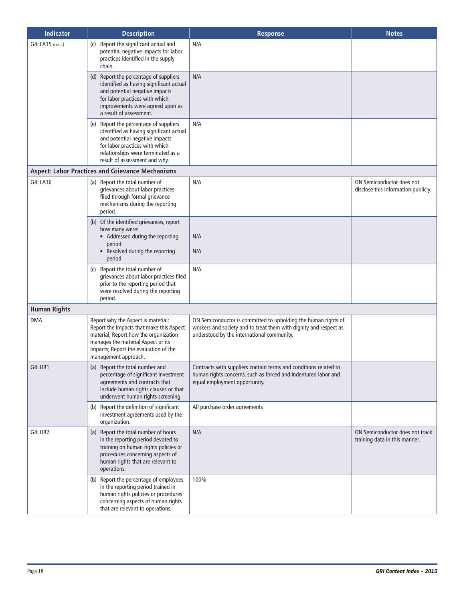| <b>Indicator</b>    | <b>Description</b>                                                                                                                                                                                                             | <b>Response</b>                                                                                                                                                                   | <b>Notes</b>                                                     |
|---------------------|--------------------------------------------------------------------------------------------------------------------------------------------------------------------------------------------------------------------------------|-----------------------------------------------------------------------------------------------------------------------------------------------------------------------------------|------------------------------------------------------------------|
| G4: LA15 (cont.)    | Report the significant actual and<br>(c)<br>potential negative impacts for labor<br>practices identified in the supply<br>chain.                                                                                               | N/A                                                                                                                                                                               |                                                                  |
|                     | (d) Report the percentage of suppliers<br>identified as having significant actual<br>and potential negative impacts<br>for labor practices with which<br>improvements were agreed upon as<br>a result of assessment.           | N/A                                                                                                                                                                               |                                                                  |
|                     | (e) Report the percentage of suppliers<br>identified as having significant actual<br>and potential negative impacts<br>for labor practices with which<br>relationships were terminated as a<br>result of assessment and why.   | N/A                                                                                                                                                                               |                                                                  |
|                     | <b>Aspect: Labor Practices and Grievance Mechanisms</b>                                                                                                                                                                        |                                                                                                                                                                                   |                                                                  |
| G4: LA16            | (a) Report the total number of<br>grievances about labor practices<br>filed through formal grievance<br>mechanisms during the reporting<br>period.                                                                             | N/A                                                                                                                                                                               | ON Semiconductor does not<br>disclose this information publicly. |
|                     | (b) Of the identified grievances, report<br>how many were:<br>• Addressed during the reporting<br>period.<br>• Resolved during the reporting<br>period.                                                                        | N/A<br>N/A                                                                                                                                                                        |                                                                  |
|                     | (c) Report the total number of<br>grievances about labor practices filed<br>prior to the reporting period that<br>were resolved during the reporting<br>period.                                                                | N/A                                                                                                                                                                               |                                                                  |
| <b>Human Rights</b> |                                                                                                                                                                                                                                |                                                                                                                                                                                   |                                                                  |
| <b>DMA</b>          | Report why the Aspect is material;<br>Report the impacts that make this Aspect<br>material; Report how the organization<br>manages the material Aspect or its<br>impacts; Report the evaluation of the<br>management approach. | ON Semiconductor is committed to upholding the human rights of<br>workers and society and to treat them with dignity and respect as<br>understood by the international community. |                                                                  |
| G4: HR1             | (a) Report the total number and<br>percentage of significant investment<br>agreements and contracts that<br>include human rights clauses or that<br>underwent human rights screening.                                          | Contracts with suppliers contain terms and conditions related to<br>human rights concerns, such as forced and indentured labor and<br>equal employment opportunity.               |                                                                  |
|                     | (b) Report the definition of significant<br>investment agreements used by the<br>organization.                                                                                                                                 | All purchase order agreements                                                                                                                                                     |                                                                  |
| G4: HR2             | (a) Report the total number of hours<br>in the reporting period devoted to<br>training on human rights policies or<br>procedures concerning aspects of<br>human rights that are relevant to<br>operations.                     | N/A                                                                                                                                                                               | ON Semiconductor does not track<br>training data in this manner. |
|                     | (b) Report the percentage of employees<br>in the reporting period trained in<br>human rights policies or procedures<br>concerning aspects of human rights<br>that are relevant to operations.                                  | 100%                                                                                                                                                                              |                                                                  |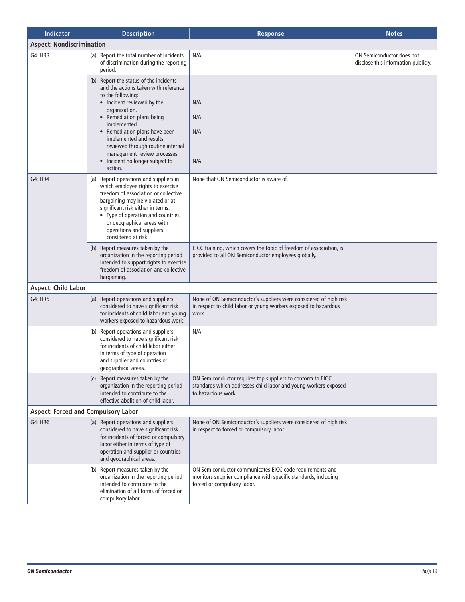| <b>Indicator</b>                           | <b>Description</b>                                                                                                                                                                                                                                                                          | <b>Response</b>                                                                                                                                            | <b>Notes</b>                                                     |
|--------------------------------------------|---------------------------------------------------------------------------------------------------------------------------------------------------------------------------------------------------------------------------------------------------------------------------------------------|------------------------------------------------------------------------------------------------------------------------------------------------------------|------------------------------------------------------------------|
| <b>Aspect: Nondiscrimination</b>           |                                                                                                                                                                                                                                                                                             |                                                                                                                                                            |                                                                  |
| G4: HR3                                    | (a) Report the total number of incidents<br>of discrimination during the reporting<br>period.                                                                                                                                                                                               | N/A                                                                                                                                                        | ON Semiconductor does not<br>disclose this information publicly. |
|                                            | (b) Report the status of the incidents<br>and the actions taken with reference<br>to the following:                                                                                                                                                                                         |                                                                                                                                                            |                                                                  |
|                                            | • Incident reviewed by the<br>organization.<br>• Remediation plans being                                                                                                                                                                                                                    | N/A<br>N/A                                                                                                                                                 |                                                                  |
|                                            | implemented.<br>• Remediation plans have been<br>implemented and results<br>reviewed through routine internal                                                                                                                                                                               | N/A                                                                                                                                                        |                                                                  |
|                                            | management review processes.<br>• Incident no longer subject to<br>action.                                                                                                                                                                                                                  | N/A                                                                                                                                                        |                                                                  |
| G4: HR4                                    | (a) Report operations and suppliers in<br>which employee rights to exercise<br>freedom of association or collective<br>bargaining may be violated or at<br>significant risk either in terms:<br>• Type of operation and countries<br>or geographical areas with<br>operations and suppliers | None that ON Semiconductor is aware of.                                                                                                                    |                                                                  |
|                                            | considered at risk.<br>(b) Report measures taken by the<br>organization in the reporting period<br>intended to support rights to exercise<br>freedom of association and collective<br>bargaining.                                                                                           | EICC training, which covers the topic of freedom of association, is<br>provided to all ON Semiconductor employees globally.                                |                                                                  |
| <b>Aspect: Child Labor</b>                 |                                                                                                                                                                                                                                                                                             |                                                                                                                                                            |                                                                  |
| G4: HR5                                    | (a) Report operations and suppliers<br>considered to have significant risk<br>for incidents of child labor and young<br>workers exposed to hazardous work.                                                                                                                                  | None of ON Semiconductor's suppliers were considered of high risk<br>in respect to child labor or young workers exposed to hazardous<br>work.              |                                                                  |
|                                            | Report operations and suppliers<br>(b)<br>considered to have significant risk<br>for incidents of child labor either<br>in terms of type of operation<br>and supplier and countries or<br>geographical areas.                                                                               | N/A                                                                                                                                                        |                                                                  |
|                                            | (c) Report measures taken by the<br>organization in the reporting period<br>intended to contribute to the<br>effective abolition of child labor.                                                                                                                                            | ON Semiconductor requires top suppliers to conform to EICC<br>standards which addresses child labor and young workers exposed<br>to hazardous work.        |                                                                  |
| <b>Aspect: Forced and Compulsory Labor</b> |                                                                                                                                                                                                                                                                                             |                                                                                                                                                            |                                                                  |
| G4: HR6                                    | (a) Report operations and suppliers<br>considered to have significant risk<br>for incidents of forced or compulsory<br>labor either in terms of type of<br>operation and supplier or countries<br>and geographical areas.                                                                   | None of ON Semiconductor's suppliers were considered of high risk<br>in respect to forced or compulsory labor.                                             |                                                                  |
|                                            | (b) Report measures taken by the<br>organization in the reporting period<br>intended to contribute to the<br>elimination of all forms of forced or<br>compulsory labor.                                                                                                                     | ON Semiconductor communicates EICC code requirements and<br>monitors supplier compliance with specific standards, including<br>forced or compulsory labor. |                                                                  |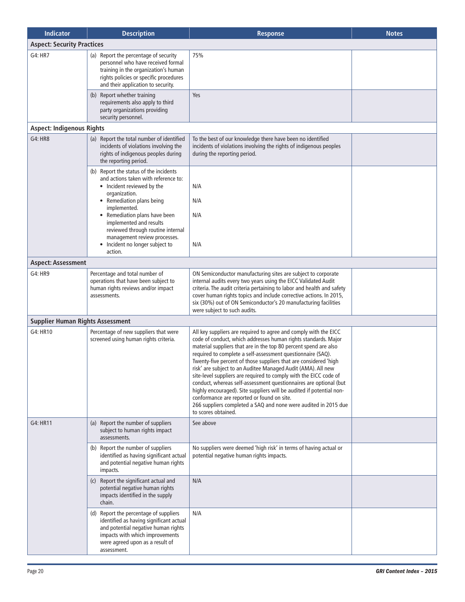| <b>Indicator</b>                        | <b>Description</b>                                                                                                                                                                                                                                                                                                                                      | <b>Response</b>                                                                                                                                                                                                                                                                                                                                                                                                                                                                                                                                                                                                                                                                                                                                                     | <b>Notes</b> |
|-----------------------------------------|---------------------------------------------------------------------------------------------------------------------------------------------------------------------------------------------------------------------------------------------------------------------------------------------------------------------------------------------------------|---------------------------------------------------------------------------------------------------------------------------------------------------------------------------------------------------------------------------------------------------------------------------------------------------------------------------------------------------------------------------------------------------------------------------------------------------------------------------------------------------------------------------------------------------------------------------------------------------------------------------------------------------------------------------------------------------------------------------------------------------------------------|--------------|
| <b>Aspect: Security Practices</b>       |                                                                                                                                                                                                                                                                                                                                                         |                                                                                                                                                                                                                                                                                                                                                                                                                                                                                                                                                                                                                                                                                                                                                                     |              |
| G4: HR7                                 | (a) Report the percentage of security<br>personnel who have received formal<br>training in the organization's human<br>rights policies or specific procedures<br>and their application to security.                                                                                                                                                     | 75%                                                                                                                                                                                                                                                                                                                                                                                                                                                                                                                                                                                                                                                                                                                                                                 |              |
|                                         | (b) Report whether training<br>requirements also apply to third<br>party organizations providing<br>security personnel.                                                                                                                                                                                                                                 | Yes                                                                                                                                                                                                                                                                                                                                                                                                                                                                                                                                                                                                                                                                                                                                                                 |              |
| <b>Aspect: Indigenous Rights</b>        |                                                                                                                                                                                                                                                                                                                                                         |                                                                                                                                                                                                                                                                                                                                                                                                                                                                                                                                                                                                                                                                                                                                                                     |              |
| G4: HR8                                 | (a) Report the total number of identified<br>incidents of violations involving the<br>rights of indigenous peoples during<br>the reporting period.                                                                                                                                                                                                      | To the best of our knowledge there have been no identified<br>incidents of violations involving the rights of indigenous peoples<br>during the reporting period.                                                                                                                                                                                                                                                                                                                                                                                                                                                                                                                                                                                                    |              |
|                                         | (b) Report the status of the incidents<br>and actions taken with reference to:<br>• Incident reviewed by the<br>organization.<br>• Remediation plans being<br>implemented.<br>• Remediation plans have been<br>implemented and results<br>reviewed through routine internal<br>management review processes.<br>Incident no longer subject to<br>action. | N/A<br>N/A<br>N/A<br>N/A                                                                                                                                                                                                                                                                                                                                                                                                                                                                                                                                                                                                                                                                                                                                            |              |
| <b>Aspect: Assessment</b>               |                                                                                                                                                                                                                                                                                                                                                         |                                                                                                                                                                                                                                                                                                                                                                                                                                                                                                                                                                                                                                                                                                                                                                     |              |
| G4: HR9                                 | Percentage and total number of<br>operations that have been subject to<br>human rights reviews and/or impact<br>assessments.                                                                                                                                                                                                                            | ON Semiconductor manufacturing sites are subject to corporate<br>internal audits every two years using the EICC Validated Audit<br>criteria. The audit criteria pertaining to labor and health and safety<br>cover human rights topics and include corrective actions. In 2015,<br>six (30%) out of ON Semiconductor's 20 manufacturing facilities<br>were subject to such audits.                                                                                                                                                                                                                                                                                                                                                                                  |              |
| <b>Supplier Human Rights Assessment</b> |                                                                                                                                                                                                                                                                                                                                                         |                                                                                                                                                                                                                                                                                                                                                                                                                                                                                                                                                                                                                                                                                                                                                                     |              |
| G4: HR10                                | Percentage of new suppliers that were<br>screened using human rights criteria.                                                                                                                                                                                                                                                                          | All key suppliers are required to agree and comply with the EICC<br>code of conduct, which addresses human rights standards. Major<br>material suppliers that are in the top 80 percent spend are also<br>required to complete a self-assessment questionnaire (SAQ).<br>Twenty-five percent of those suppliers that are considered 'high<br>risk' are subject to an Auditee Managed Audit (AMA). All new<br>site-level suppliers are required to comply with the EICC code of<br>conduct, whereas self-assessment questionnaires are optional (but<br>highly encouraged). Site suppliers will be audited if potential non-<br>conformance are reported or found on site.<br>266 suppliers completed a SAQ and none were audited in 2015 due<br>to scores obtained. |              |
| G4: HR11                                | (a) Report the number of suppliers<br>subject to human rights impact<br>assessments.                                                                                                                                                                                                                                                                    | See above                                                                                                                                                                                                                                                                                                                                                                                                                                                                                                                                                                                                                                                                                                                                                           |              |
|                                         | (b) Report the number of suppliers<br>identified as having significant actual<br>and potential negative human rights<br>impacts.                                                                                                                                                                                                                        | No suppliers were deemed 'high risk' in terms of having actual or<br>potential negative human rights impacts.                                                                                                                                                                                                                                                                                                                                                                                                                                                                                                                                                                                                                                                       |              |
|                                         | (c) Report the significant actual and<br>potential negative human rights<br>impacts identified in the supply<br>chain.                                                                                                                                                                                                                                  | N/A                                                                                                                                                                                                                                                                                                                                                                                                                                                                                                                                                                                                                                                                                                                                                                 |              |
|                                         | (d) Report the percentage of suppliers<br>identified as having significant actual<br>and potential negative human rights<br>impacts with which improvements<br>were agreed upon as a result of<br>assessment.                                                                                                                                           | N/A                                                                                                                                                                                                                                                                                                                                                                                                                                                                                                                                                                                                                                                                                                                                                                 |              |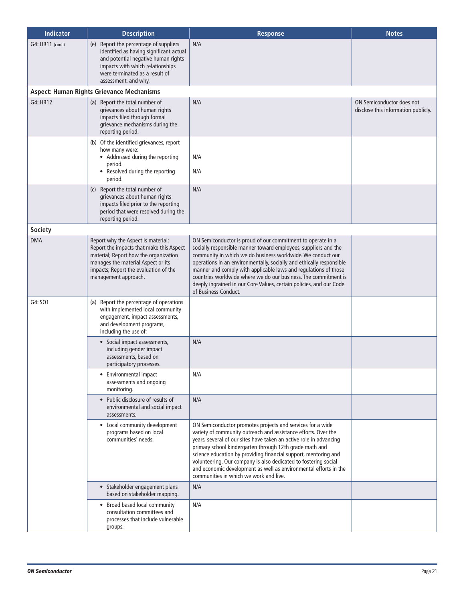| <b>Indicator</b> | <b>Description</b>                                                                                                                                                                                                             | <b>Response</b>                                                                                                                                                                                                                                                                                                                                                                                                                                                                                                   | <b>Notes</b>                                                     |
|------------------|--------------------------------------------------------------------------------------------------------------------------------------------------------------------------------------------------------------------------------|-------------------------------------------------------------------------------------------------------------------------------------------------------------------------------------------------------------------------------------------------------------------------------------------------------------------------------------------------------------------------------------------------------------------------------------------------------------------------------------------------------------------|------------------------------------------------------------------|
| G4: HR11 (cont.) | Report the percentage of suppliers<br>(e)<br>identified as having significant actual<br>and potential negative human rights<br>impacts with which relationships<br>were terminated as a result of<br>assessment, and why.      | N/A                                                                                                                                                                                                                                                                                                                                                                                                                                                                                                               |                                                                  |
|                  | <b>Aspect: Human Rights Grievance Mechanisms</b>                                                                                                                                                                               |                                                                                                                                                                                                                                                                                                                                                                                                                                                                                                                   |                                                                  |
| G4: HR12         | (a) Report the total number of<br>grievances about human rights<br>impacts filed through formal<br>grievance mechanisms during the<br>reporting period.                                                                        | N/A                                                                                                                                                                                                                                                                                                                                                                                                                                                                                                               | ON Semiconductor does not<br>disclose this information publicly. |
|                  | (b) Of the identified grievances, report<br>how many were:<br>• Addressed during the reporting<br>period.<br>• Resolved during the reporting<br>period.                                                                        | N/A<br>N/A                                                                                                                                                                                                                                                                                                                                                                                                                                                                                                        |                                                                  |
|                  | (c) Report the total number of<br>grievances about human rights<br>impacts filed prior to the reporting<br>period that were resolved during the<br>reporting period.                                                           | N/A                                                                                                                                                                                                                                                                                                                                                                                                                                                                                                               |                                                                  |
| <b>Society</b>   |                                                                                                                                                                                                                                |                                                                                                                                                                                                                                                                                                                                                                                                                                                                                                                   |                                                                  |
| <b>DMA</b>       | Report why the Aspect is material;<br>Report the impacts that make this Aspect<br>material; Report how the organization<br>manages the material Aspect or its<br>impacts; Report the evaluation of the<br>management approach. | ON Semiconductor is proud of our commitment to operate in a<br>socially responsible manner toward employees, suppliers and the<br>community in which we do business worldwide. We conduct our<br>operations in an environmentally, socially and ethically responsible<br>manner and comply with applicable laws and regulations of those<br>countries worldwide where we do our business. The commitment is<br>deeply ingrained in our Core Values, certain policies, and our Code<br>of Business Conduct.        |                                                                  |
| G4: SO1          | (a) Report the percentage of operations<br>with implemented local community<br>engagement, impact assessments,<br>and development programs,<br>including the use of:                                                           |                                                                                                                                                                                                                                                                                                                                                                                                                                                                                                                   |                                                                  |
|                  | • Social impact assessments,<br>including gender impact<br>assessments, based on<br>participatory processes.                                                                                                                   | N/A                                                                                                                                                                                                                                                                                                                                                                                                                                                                                                               |                                                                  |
|                  | • Environmental impact<br>assessments and ongoing<br>monitoring.                                                                                                                                                               | N/A                                                                                                                                                                                                                                                                                                                                                                                                                                                                                                               |                                                                  |
|                  | • Public disclosure of results of<br>environmental and social impact<br>assessments.                                                                                                                                           | N/A                                                                                                                                                                                                                                                                                                                                                                                                                                                                                                               |                                                                  |
|                  | • Local community development<br>programs based on local<br>communities' needs.                                                                                                                                                | ON Semiconductor promotes projects and services for a wide<br>variety of community outreach and assistance efforts. Over the<br>years, several of our sites have taken an active role in advancing<br>primary school kindergarten through 12th grade math and<br>science education by providing financial support, mentoring and<br>volunteering. Our company is also dedicated to fostering social<br>and economic development as well as environmental efforts in the<br>communities in which we work and live. |                                                                  |
|                  | • Stakeholder engagement plans<br>based on stakeholder mapping.                                                                                                                                                                | N/A                                                                                                                                                                                                                                                                                                                                                                                                                                                                                                               |                                                                  |
|                  | • Broad based local community<br>consultation committees and<br>processes that include vulnerable<br>groups.                                                                                                                   | N/A                                                                                                                                                                                                                                                                                                                                                                                                                                                                                                               |                                                                  |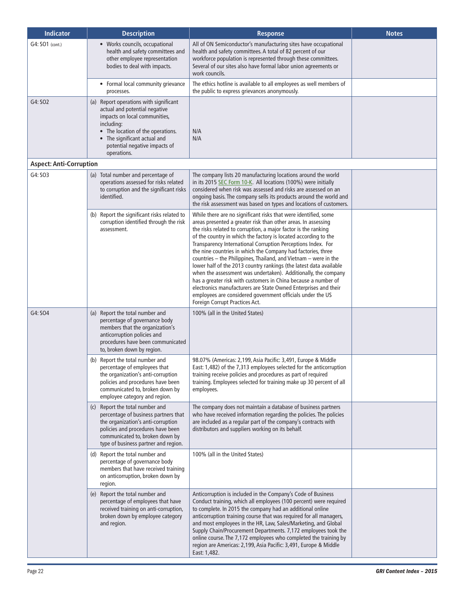| <b>Indicator</b>               | <b>Description</b>                                                                                                                                                                                                                          | <b>Response</b>                                                                                                                                                                                                                                                                                                                                                                                                                                                                                                                                                                                                                                                                                                                                                                                                                                        | <b>Notes</b> |
|--------------------------------|---------------------------------------------------------------------------------------------------------------------------------------------------------------------------------------------------------------------------------------------|--------------------------------------------------------------------------------------------------------------------------------------------------------------------------------------------------------------------------------------------------------------------------------------------------------------------------------------------------------------------------------------------------------------------------------------------------------------------------------------------------------------------------------------------------------------------------------------------------------------------------------------------------------------------------------------------------------------------------------------------------------------------------------------------------------------------------------------------------------|--------------|
| G4: SO1 (cont.)                | • Works councils, occupational<br>health and safety committees and<br>other employee representation<br>bodies to deal with impacts.                                                                                                         | All of ON Semiconductor's manufacturing sites have occupational<br>health and safety committees. A total of 82 percent of our<br>workforce population is represented through these committees.<br>Several of our sites also have formal labor union agreements or<br>work councils.                                                                                                                                                                                                                                                                                                                                                                                                                                                                                                                                                                    |              |
|                                | • Formal local community grievance<br>processes.                                                                                                                                                                                            | The ethics hotline is available to all employees as well members of<br>the public to express grievances anonymously.                                                                                                                                                                                                                                                                                                                                                                                                                                                                                                                                                                                                                                                                                                                                   |              |
| G4: SO2                        | (a) Report operations with significant<br>actual and potential negative<br>impacts on local communities,<br>including:<br>• The location of the operations.<br>• The significant actual and<br>potential negative impacts of<br>operations. | N/A<br>N/A                                                                                                                                                                                                                                                                                                                                                                                                                                                                                                                                                                                                                                                                                                                                                                                                                                             |              |
| <b>Aspect: Anti-Corruption</b> |                                                                                                                                                                                                                                             |                                                                                                                                                                                                                                                                                                                                                                                                                                                                                                                                                                                                                                                                                                                                                                                                                                                        |              |
| G4: SO3                        | (a) Total number and percentage of<br>operations assessed for risks related<br>to corruption and the significant risks<br>identified.                                                                                                       | The company lists 20 manufacturing locations around the world<br>in its 2015 SEC Form 10-K. All locations (100%) were initially<br>considered when risk was assessed and risks are assessed on an<br>ongoing basis. The company sells its products around the world and<br>the risk assessment was based on types and locations of customers.                                                                                                                                                                                                                                                                                                                                                                                                                                                                                                          |              |
|                                | (b) Report the significant risks related to<br>corruption identified through the risk<br>assessment.                                                                                                                                        | While there are no significant risks that were identified, some<br>areas presented a greater risk than other areas. In assessing<br>the risks related to corruption, a major factor is the ranking<br>of the country in which the factory is located according to the<br>Transparency International Corruption Perceptions Index. For<br>the nine countries in which the Company had factories, three<br>countries - the Philippines, Thailand, and Vietnam - were in the<br>lower half of the 2013 country rankings (the latest data available<br>when the assessment was undertaken). Additionally, the company<br>has a greater risk with customers in China because a number of<br>electronics manufacturers are State Owned Enterprises and their<br>employees are considered government officials under the US<br>Foreign Corrupt Practices Act. |              |
| G4: SO4                        | (a) Report the total number and<br>percentage of governance body<br>members that the organization's<br>anticorruption policies and<br>procedures have been communicated<br>to, broken down by region.                                       | 100% (all in the United States)                                                                                                                                                                                                                                                                                                                                                                                                                                                                                                                                                                                                                                                                                                                                                                                                                        |              |
|                                | (b) Report the total number and<br>percentage of employees that<br>the organization's anti-corruption<br>policies and procedures have been<br>communicated to, broken down by<br>employee category and region.                              | 98.07% (Americas: 2,199, Asia Pacific: 3,491, Europe & Middle<br>East: 1,482) of the 7,313 employees selected for the anticorruption<br>training receive policies and procedures as part of required<br>training. Employees selected for training make up 30 percent of all<br>employees.                                                                                                                                                                                                                                                                                                                                                                                                                                                                                                                                                              |              |
|                                | (c) Report the total number and<br>percentage of business partners that<br>the organization's anti-corruption<br>policies and procedures have been<br>communicated to, broken down by<br>type of business partner and region.               | The company does not maintain a database of business partners<br>who have received information regarding the policies. The policies<br>are included as a regular part of the company's contracts with<br>distributors and suppliers working on its behalf.                                                                                                                                                                                                                                                                                                                                                                                                                                                                                                                                                                                             |              |
|                                | (d) Report the total number and<br>percentage of governance body<br>members that have received training<br>on anticorruption, broken down by<br>region.                                                                                     | 100% (all in the United States)                                                                                                                                                                                                                                                                                                                                                                                                                                                                                                                                                                                                                                                                                                                                                                                                                        |              |
|                                | (e) Report the total number and<br>percentage of employees that have<br>received training on anti-corruption,<br>broken down by employee category<br>and region.                                                                            | Anticorruption is included in the Company's Code of Business<br>Conduct training, which all employees (100 percent) were required<br>to complete. In 2015 the company had an additional online<br>anticorruption training course that was required for all managers,<br>and most employees in the HR, Law, Sales/Marketing, and Global<br>Supply Chain/Procurement Departments. 7,172 employees took the<br>online course. The 7,172 employees who completed the training by<br>region are Americas: 2,199, Asia Pacific: 3,491, Europe & Middle<br>East: 1,482.                                                                                                                                                                                                                                                                                       |              |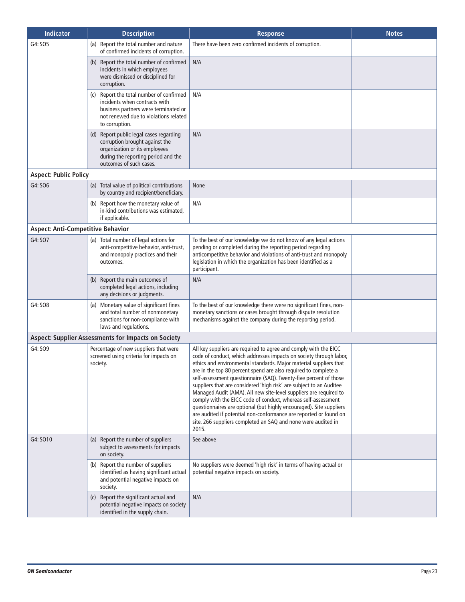| <b>Indicator</b>                         | <b>Description</b>                                                                                                                                                           | <b>Response</b>                                                                                                                                                                                                                                                                                                                                                                                                                                                                                                                                                                                                                                                                                                                                                                        | <b>Notes</b> |
|------------------------------------------|------------------------------------------------------------------------------------------------------------------------------------------------------------------------------|----------------------------------------------------------------------------------------------------------------------------------------------------------------------------------------------------------------------------------------------------------------------------------------------------------------------------------------------------------------------------------------------------------------------------------------------------------------------------------------------------------------------------------------------------------------------------------------------------------------------------------------------------------------------------------------------------------------------------------------------------------------------------------------|--------------|
| G4: SO5                                  | (a) Report the total number and nature<br>of confirmed incidents of corruption.                                                                                              | There have been zero confirmed incidents of corruption.                                                                                                                                                                                                                                                                                                                                                                                                                                                                                                                                                                                                                                                                                                                                |              |
|                                          | (b) Report the total number of confirmed<br>incidents in which employees<br>were dismissed or disciplined for<br>corruption.                                                 | N/A                                                                                                                                                                                                                                                                                                                                                                                                                                                                                                                                                                                                                                                                                                                                                                                    |              |
|                                          | (c) Report the total number of confirmed<br>incidents when contracts with<br>business partners were terminated or<br>not renewed due to violations related<br>to corruption. | N/A                                                                                                                                                                                                                                                                                                                                                                                                                                                                                                                                                                                                                                                                                                                                                                                    |              |
|                                          | (d) Report public legal cases regarding<br>corruption brought against the<br>organization or its employees<br>during the reporting period and the<br>outcomes of such cases. | N/A                                                                                                                                                                                                                                                                                                                                                                                                                                                                                                                                                                                                                                                                                                                                                                                    |              |
| <b>Aspect: Public Policy</b>             |                                                                                                                                                                              |                                                                                                                                                                                                                                                                                                                                                                                                                                                                                                                                                                                                                                                                                                                                                                                        |              |
| G4: SO6                                  | (a) Total value of political contributions<br>by country and recipient/beneficiary.                                                                                          | None                                                                                                                                                                                                                                                                                                                                                                                                                                                                                                                                                                                                                                                                                                                                                                                   |              |
|                                          | (b) Report how the monetary value of<br>in-kind contributions was estimated,<br>if applicable.                                                                               | N/A                                                                                                                                                                                                                                                                                                                                                                                                                                                                                                                                                                                                                                                                                                                                                                                    |              |
| <b>Aspect: Anti-Competitive Behavior</b> |                                                                                                                                                                              |                                                                                                                                                                                                                                                                                                                                                                                                                                                                                                                                                                                                                                                                                                                                                                                        |              |
| G4: SO7                                  | (a) Total number of legal actions for<br>anti-competitive behavior, anti-trust,<br>and monopoly practices and their<br>outcomes.                                             | To the best of our knowledge we do not know of any legal actions<br>pending or completed during the reporting period regarding<br>anticompetitive behavior and violations of anti-trust and monopoly<br>legislation in which the organization has been identified as a<br>participant.                                                                                                                                                                                                                                                                                                                                                                                                                                                                                                 |              |
|                                          | (b) Report the main outcomes of<br>completed legal actions, including<br>any decisions or judgments.                                                                         | N/A                                                                                                                                                                                                                                                                                                                                                                                                                                                                                                                                                                                                                                                                                                                                                                                    |              |
| G4: SO8                                  | (a) Monetary value of significant fines<br>and total number of nonmonetary<br>sanctions for non-compliance with<br>laws and regulations.                                     | To the best of our knowledge there were no significant fines, non-<br>monetary sanctions or cases brought through dispute resolution<br>mechanisms against the company during the reporting period.                                                                                                                                                                                                                                                                                                                                                                                                                                                                                                                                                                                    |              |
|                                          | <b>Aspect: Supplier Assessments for Impacts on Society</b>                                                                                                                   |                                                                                                                                                                                                                                                                                                                                                                                                                                                                                                                                                                                                                                                                                                                                                                                        |              |
| G4: SO9                                  | Percentage of new suppliers that were<br>screened using criteria for impacts on<br>society.                                                                                  | All key suppliers are required to agree and comply with the EICC<br>code of conduct, which addresses impacts on society through labor,<br>ethics and environmental standards. Major material suppliers that<br>are in the top 80 percent spend are also required to complete a<br>self-assessment questionnaire (SAQ). Twenty-five percent of those<br>suppliers that are considered 'high risk' are subject to an Auditee<br>Managed Audit (AMA). All new site-level suppliers are required to<br>comply with the EICC code of conduct, whereas self-assessment<br>questionnaires are optional (but highly encouraged). Site suppliers<br>are audited if potential non-conformance are reported or found on<br>site. 266 suppliers completed an SAQ and none were audited in<br>2015. |              |
| G4: SO10                                 | (a) Report the number of suppliers<br>subject to assessments for impacts<br>on society.                                                                                      | See above                                                                                                                                                                                                                                                                                                                                                                                                                                                                                                                                                                                                                                                                                                                                                                              |              |
|                                          | (b) Report the number of suppliers<br>identified as having significant actual<br>and potential negative impacts on<br>society.                                               | No suppliers were deemed 'high risk' in terms of having actual or<br>potential negative impacts on society.                                                                                                                                                                                                                                                                                                                                                                                                                                                                                                                                                                                                                                                                            |              |
|                                          | (c) Report the significant actual and<br>potential negative impacts on society<br>identified in the supply chain.                                                            | N/A                                                                                                                                                                                                                                                                                                                                                                                                                                                                                                                                                                                                                                                                                                                                                                                    |              |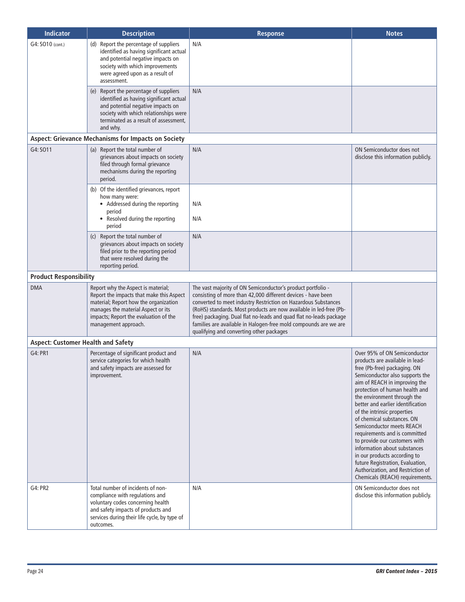| <b>Indicator</b>                          | <b>Description</b>                                                                                                                                                                                                             | <b>Response</b>                                                                                                                                                                                                                                                                                                                                                                                                                                           | <b>Notes</b>                                                                                                                                                                                                                                                                                                                                                                                                                                                                                                                                                                                                      |
|-------------------------------------------|--------------------------------------------------------------------------------------------------------------------------------------------------------------------------------------------------------------------------------|-----------------------------------------------------------------------------------------------------------------------------------------------------------------------------------------------------------------------------------------------------------------------------------------------------------------------------------------------------------------------------------------------------------------------------------------------------------|-------------------------------------------------------------------------------------------------------------------------------------------------------------------------------------------------------------------------------------------------------------------------------------------------------------------------------------------------------------------------------------------------------------------------------------------------------------------------------------------------------------------------------------------------------------------------------------------------------------------|
| G4: SO10 (cont.)                          | (d) Report the percentage of suppliers<br>identified as having significant actual<br>and potential negative impacts on<br>society with which improvements<br>were agreed upon as a result of<br>assessment.                    | N/A                                                                                                                                                                                                                                                                                                                                                                                                                                                       |                                                                                                                                                                                                                                                                                                                                                                                                                                                                                                                                                                                                                   |
|                                           | (e) Report the percentage of suppliers<br>identified as having significant actual<br>and potential negative impacts on<br>society with which relationships were<br>terminated as a result of assessment,<br>and why.           | N/A                                                                                                                                                                                                                                                                                                                                                                                                                                                       |                                                                                                                                                                                                                                                                                                                                                                                                                                                                                                                                                                                                                   |
|                                           | <b>Aspect: Grievance Mechanisms for Impacts on Society</b>                                                                                                                                                                     |                                                                                                                                                                                                                                                                                                                                                                                                                                                           |                                                                                                                                                                                                                                                                                                                                                                                                                                                                                                                                                                                                                   |
| G4: SO11                                  | (a) Report the total number of<br>grievances about impacts on society<br>filed through formal grievance<br>mechanisms during the reporting<br>period.                                                                          | N/A                                                                                                                                                                                                                                                                                                                                                                                                                                                       | ON Semiconductor does not<br>disclose this information publicly.                                                                                                                                                                                                                                                                                                                                                                                                                                                                                                                                                  |
|                                           | (b) Of the identified grievances, report<br>how many were:<br>• Addressed during the reporting<br>period<br>• Resolved during the reporting<br>period                                                                          | N/A<br>N/A                                                                                                                                                                                                                                                                                                                                                                                                                                                |                                                                                                                                                                                                                                                                                                                                                                                                                                                                                                                                                                                                                   |
|                                           | (c) Report the total number of<br>grievances about impacts on society<br>filed prior to the reporting period<br>that were resolved during the<br>reporting period.                                                             | N/A                                                                                                                                                                                                                                                                                                                                                                                                                                                       |                                                                                                                                                                                                                                                                                                                                                                                                                                                                                                                                                                                                                   |
| <b>Product Responsibility</b>             |                                                                                                                                                                                                                                |                                                                                                                                                                                                                                                                                                                                                                                                                                                           |                                                                                                                                                                                                                                                                                                                                                                                                                                                                                                                                                                                                                   |
| <b>DMA</b>                                | Report why the Aspect is material;<br>Report the impacts that make this Aspect<br>material; Report how the organization<br>manages the material Aspect or its<br>impacts; Report the evaluation of the<br>management approach. | The vast majority of ON Semiconductor's product portfolio -<br>consisting of more than 42,000 different devices - have been<br>converted to meet industry Restriction on Hazardous Substances<br>(RoHS) standards. Most products are now available in led-free (Pb-<br>free) packaging. Dual flat no-leads and quad flat no-leads package<br>families are available in Halogen-free mold compounds are we are<br>qualifying and converting other packages |                                                                                                                                                                                                                                                                                                                                                                                                                                                                                                                                                                                                                   |
| <b>Aspect: Customer Health and Safety</b> |                                                                                                                                                                                                                                |                                                                                                                                                                                                                                                                                                                                                                                                                                                           |                                                                                                                                                                                                                                                                                                                                                                                                                                                                                                                                                                                                                   |
| G4: PR1                                   | Percentage of significant product and<br>service categories for which health<br>and safety impacts are assessed for<br>improvement.                                                                                            | N/A                                                                                                                                                                                                                                                                                                                                                                                                                                                       | Over 95% of ON Semiconductor<br>products are available in lead-<br>free (Pb-free) packaging. ON<br>Semiconductor also supports the<br>aim of REACH in improving the<br>protection of human health and<br>the environment through the<br>better and earlier identification<br>of the intrinsic properties<br>of chemical substances. ON<br>Semiconductor meets REACH<br>requirements and is committed<br>to provide our customers with<br>information about substances<br>in our products according to<br>future Registration, Evaluation,<br>Authorization, and Restriction of<br>Chemicals (REACH) requirements. |
| G4: PR2                                   | Total number of incidents of non-<br>compliance with regulations and<br>voluntary codes concerning health<br>and safety impacts of products and<br>services during their life cycle, by type of<br>outcomes.                   | N/A                                                                                                                                                                                                                                                                                                                                                                                                                                                       | ON Semiconductor does not<br>disclose this information publicly.                                                                                                                                                                                                                                                                                                                                                                                                                                                                                                                                                  |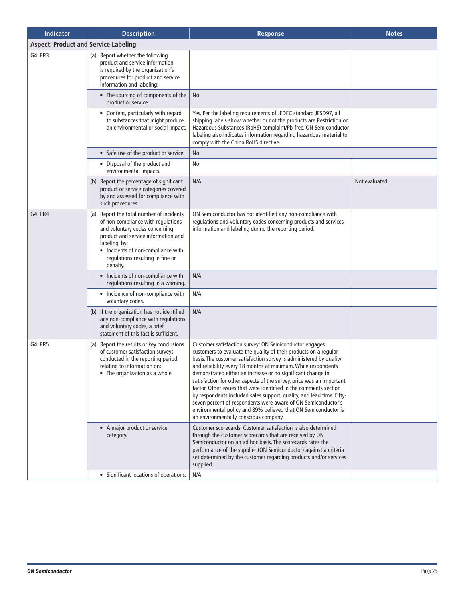| <b>Indicator</b>                            | <b>Description</b>                                                                                                                                                                                                                                             | <b>Response</b>                                                                                                                                                                                                                                                                                                                                                                                                                                                                                                                                                                                                                                                                                                                    | <b>Notes</b>  |  |
|---------------------------------------------|----------------------------------------------------------------------------------------------------------------------------------------------------------------------------------------------------------------------------------------------------------------|------------------------------------------------------------------------------------------------------------------------------------------------------------------------------------------------------------------------------------------------------------------------------------------------------------------------------------------------------------------------------------------------------------------------------------------------------------------------------------------------------------------------------------------------------------------------------------------------------------------------------------------------------------------------------------------------------------------------------------|---------------|--|
| <b>Aspect: Product and Service Labeling</b> |                                                                                                                                                                                                                                                                |                                                                                                                                                                                                                                                                                                                                                                                                                                                                                                                                                                                                                                                                                                                                    |               |  |
| G4: PR3                                     | (a) Report whether the following<br>product and service information<br>is required by the organization's<br>procedures for product and service<br>information and labeling:                                                                                    |                                                                                                                                                                                                                                                                                                                                                                                                                                                                                                                                                                                                                                                                                                                                    |               |  |
|                                             | • The sourcing of components of the<br>product or service.                                                                                                                                                                                                     | No                                                                                                                                                                                                                                                                                                                                                                                                                                                                                                                                                                                                                                                                                                                                 |               |  |
|                                             | • Content, particularly with regard<br>to substances that might produce<br>an environmental or social impact.                                                                                                                                                  | Yes. Per the labeling requirements of JEDEC standard JESD97, all<br>shipping labels show whether or not the products are Restriction on<br>Hazardous Substances (RoHS) complaint/Pb-free. ON Semiconductor<br>labeling also indicates information regarding hazardous material to<br>comply with the China RoHS directive.                                                                                                                                                                                                                                                                                                                                                                                                         |               |  |
|                                             | • Safe use of the product or service.                                                                                                                                                                                                                          | No                                                                                                                                                                                                                                                                                                                                                                                                                                                                                                                                                                                                                                                                                                                                 |               |  |
|                                             | • Disposal of the product and<br>environmental impacts.                                                                                                                                                                                                        | No                                                                                                                                                                                                                                                                                                                                                                                                                                                                                                                                                                                                                                                                                                                                 |               |  |
|                                             | (b) Report the percentage of significant<br>product or service categories covered<br>by and assessed for compliance with<br>such procedures.                                                                                                                   | N/A                                                                                                                                                                                                                                                                                                                                                                                                                                                                                                                                                                                                                                                                                                                                | Not evaluated |  |
| G4: PR4                                     | (a) Report the total number of incidents<br>of non-compliance with regulations<br>and voluntary codes concerning<br>product and service information and<br>labeling, by:<br>• Incidents of non-compliance with<br>regulations resulting in fine or<br>penalty. | ON Semiconductor has not identified any non-compliance with<br>regulations and voluntary codes concerning products and services<br>information and labeling during the reporting period.                                                                                                                                                                                                                                                                                                                                                                                                                                                                                                                                           |               |  |
|                                             | • Incidents of non-compliance with<br>regulations resulting in a warning.                                                                                                                                                                                      | N/A                                                                                                                                                                                                                                                                                                                                                                                                                                                                                                                                                                                                                                                                                                                                |               |  |
|                                             | • Incidence of non-compliance with<br>voluntary codes.                                                                                                                                                                                                         | N/A                                                                                                                                                                                                                                                                                                                                                                                                                                                                                                                                                                                                                                                                                                                                |               |  |
|                                             | (b) If the organization has not identified<br>any non-compliance with regulations<br>and voluntary codes, a brief<br>statement of this fact is sufficient.                                                                                                     | N/A                                                                                                                                                                                                                                                                                                                                                                                                                                                                                                                                                                                                                                                                                                                                |               |  |
| G4: PR5                                     | (a) Report the results or key conclusions<br>of customer satisfaction surveys<br>conducted in the reporting period<br>relating to information on:<br>• The organization as a whole.                                                                            | Customer satisfaction survey: ON Semiconductor engages<br>customers to evaluate the quality of their products on a regular<br>basis. The customer satisfaction survey is administered by quality<br>and reliability every 18 months at minimum. While respondents<br>demonstrated either an increase or no significant change in<br>satisfaction for other aspects of the survey, price was an important<br>factor. Other issues that were identified in the comments section<br>by respondents included sales support, quality, and lead time. Fifty-<br>seven percent of respondents were aware of ON Semiconductor's<br>environmental policy and 89% believed that ON Semiconductor is<br>an environmentally conscious company. |               |  |
|                                             | • A major product or service<br>category.                                                                                                                                                                                                                      | Customer scorecards: Customer satisfaction is also determined<br>through the customer scorecards that are received by ON<br>Semiconductor on an ad hoc basis. The scorecards rates the<br>performance of the supplier (ON Semiconductor) against a criteria<br>set determined by the customer regarding products and/or services<br>supplied.                                                                                                                                                                                                                                                                                                                                                                                      |               |  |
|                                             | • Significant locations of operations.                                                                                                                                                                                                                         | N/A                                                                                                                                                                                                                                                                                                                                                                                                                                                                                                                                                                                                                                                                                                                                |               |  |